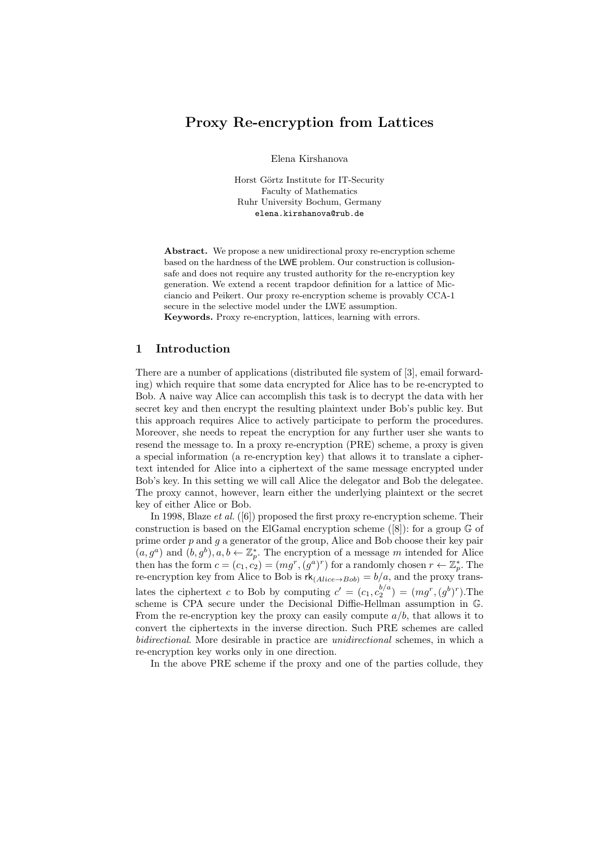# Proxy Re-encryption from Lattices

Elena Kirshanova

Horst Görtz Institute for IT-Security Faculty of Mathematics Ruhr University Bochum, Germany elena.kirshanova@rub.de

Abstract. We propose a new unidirectional proxy re-encryption scheme based on the hardness of the LWE problem. Our construction is collusionsafe and does not require any trusted authority for the re-encryption key generation. We extend a recent trapdoor definition for a lattice of Micciancio and Peikert. Our proxy re-encryption scheme is provably CCA-1 secure in the selective model under the LWE assumption.

Keywords. Proxy re-encryption, lattices, learning with errors.

# 1 Introduction

There are a number of applications (distributed file system of [3], email forwarding) which require that some data encrypted for Alice has to be re-encrypted to Bob. A naive way Alice can accomplish this task is to decrypt the data with her secret key and then encrypt the resulting plaintext under Bob's public key. But this approach requires Alice to actively participate to perform the procedures. Moreover, she needs to repeat the encryption for any further user she wants to resend the message to. In a proxy re-encryption (PRE) scheme, a proxy is given a special information (a re-encryption key) that allows it to translate a ciphertext intended for Alice into a ciphertext of the same message encrypted under Bob's key. In this setting we will call Alice the delegator and Bob the delegatee. The proxy cannot, however, learn either the underlying plaintext or the secret key of either Alice or Bob.

In 1998, Blaze et al. ([6]) proposed the first proxy re-encryption scheme. Their construction is based on the ElGamal encryption scheme  $([8])$ : for a group  $\mathbb{G}$  of prime order  $p$  and  $q$  a generator of the group, Alice and Bob choose their key pair  $(a, g^a)$  and  $(b, g^b)$ ,  $a, b \leftarrow \mathbb{Z}_p^*$ . The encryption of a message m intended for Alice then has the form  $c = (c_1, c_2) = (mg^r, (g^a)^r)$  for a randomly chosen  $r \leftarrow \mathbb{Z}_p^*$ . The re-encryption key from Alice to Bob is  $rk_{(Alice \rightarrow Bob)} = b/a$ , and the proxy translates the ciphertext c to Bob by computing  $c' = (c_1, c_2^{b/a}) = (mg^r, (g^b)^r)$ . The scheme is CPA secure under the Decisional Diffie-Hellman assumption in G. From the re-encryption key the proxy can easily compute  $a/b$ , that allows it to convert the ciphertexts in the inverse direction. Such PRE schemes are called bidirectional. More desirable in practice are unidirectional schemes, in which a re-encryption key works only in one direction.

In the above PRE scheme if the proxy and one of the parties collude, they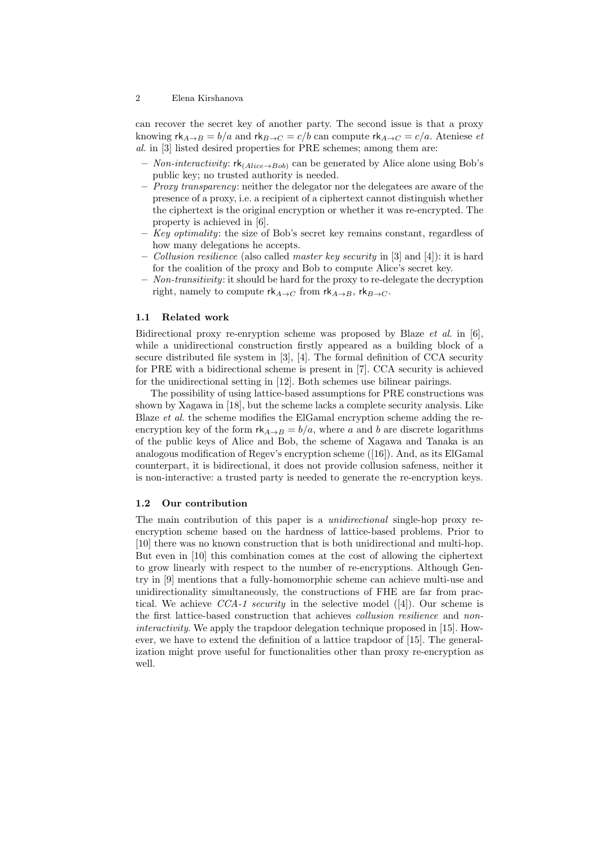can recover the secret key of another party. The second issue is that a proxy knowing  $rk_{A\rightarrow B} = b/a$  and  $rk_{B\rightarrow C} = c/b$  can compute  $rk_{A\rightarrow C} = c/a$ . Ateniese et al. in [3] listed desired properties for PRE schemes; among them are:

- Non-interactivity:  $rk_{(Alice \rightarrow Bob)}$  can be generated by Alice alone using Bob's public key; no trusted authority is needed.
- $-$  *Proxy transparency:* neither the delegator nor the delegatees are aware of the presence of a proxy, i.e. a recipient of a ciphertext cannot distinguish whether the ciphertext is the original encryption or whether it was re-encrypted. The property is achieved in [6].
- $-$  Key optimality: the size of Bob's secret key remains constant, regardless of how many delegations he accepts.
- *Collusion resilience* (also called *master key security* in [3] and [4]): it is hard for the coalition of the proxy and Bob to compute Alice's secret key.
- $-$  Non-transitivity: it should be hard for the proxy to re-delegate the decryption right, namely to compute  $rk_{A\to C}$  from  $rk_{A\to B}$ ,  $rk_{B\to C}$ .

### 1.1 Related work

Bidirectional proxy re-enryption scheme was proposed by Blaze et al. in [6], while a unidirectional construction firstly appeared as a building block of a secure distributed file system in [3], [4]. The formal definition of CCA security for PRE with a bidirectional scheme is present in [7]. CCA security is achieved for the unidirectional setting in [12]. Both schemes use bilinear pairings.

The possibility of using lattice-based assumptions for PRE constructions was shown by Xagawa in [18], but the scheme lacks a complete security analysis. Like Blaze et al. the scheme modifies the ElGamal encryption scheme adding the reencryption key of the form  $rk_{A\to B} = b/a$ , where a and b are discrete logarithms of the public keys of Alice and Bob, the scheme of Xagawa and Tanaka is an analogous modification of Regev's encryption scheme ([16]). And, as its ElGamal counterpart, it is bidirectional, it does not provide collusion safeness, neither it is non-interactive: a trusted party is needed to generate the re-encryption keys.

### 1.2 Our contribution

The main contribution of this paper is a unidirectional single-hop proxy reencryption scheme based on the hardness of lattice-based problems. Prior to [10] there was no known construction that is both unidirectional and multi-hop. But even in [10] this combination comes at the cost of allowing the ciphertext to grow linearly with respect to the number of re-encryptions. Although Gentry in [9] mentions that a fully-homomorphic scheme can achieve multi-use and unidirectionality simultaneously, the constructions of FHE are far from practical. We achieve  $CCA-1$  security in the selective model ([4]). Our scheme is the first lattice-based construction that achieves collusion resilience and noninteractivity. We apply the trapdoor delegation technique proposed in [15]. However, we have to extend the definition of a lattice trapdoor of [15]. The generalization might prove useful for functionalities other than proxy re-encryption as well.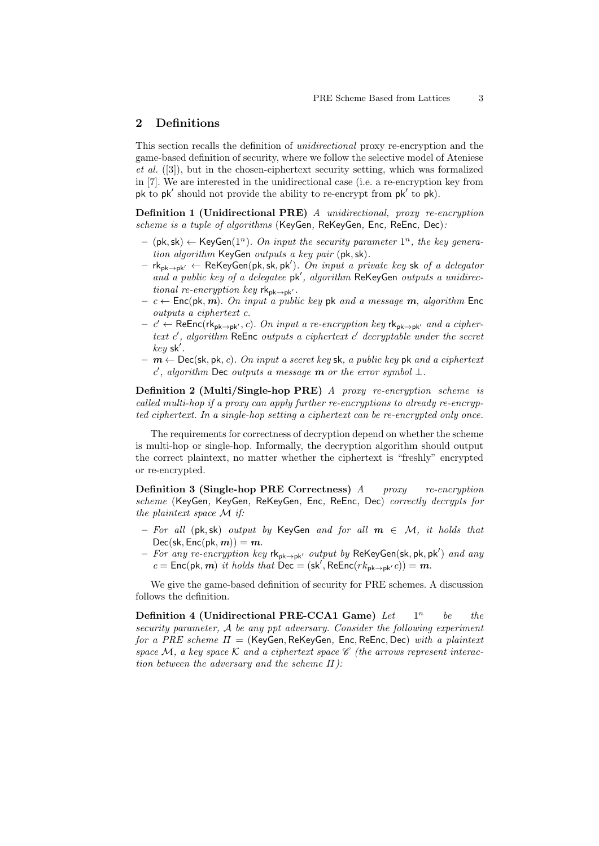# 2 Definitions

This section recalls the definition of unidirectional proxy re-encryption and the game-based definition of security, where we follow the selective model of Ateniese  $et \ al.$  ([3]), but in the chosen-ciphertext security setting, which was formalized in [7]. We are interested in the unidirectional case (i.e. a re-encryption key from pk to pk' should not provide the ability to re-encrypt from pk' to pk).

Definition 1 (Unidirectional PRE) A unidirectional, proxy re-encryption scheme is a tuple of algorithms (KeyGen, ReKeyGen, Enc, ReEnc, Dec):

- $-$  (pk, sk)  $\leftarrow$  KeyGen(1<sup>n</sup>). On input the security parameter 1<sup>n</sup>, the key generation algorithm KeyGen outputs a key pair (pk,sk).
- $-$  rk<sub>pk→pk</sub><sub>'</sub> ← ReKeyGen(pk, sk, pk'). On input a private key sk of a delegator and a public key of a delegatee pk', algorithm ReKeyGen outputs a unidirectional re-encryption key  $rk_{pk\rightarrow pk'}$ .
- $c \leftarrow \text{Enc}(\text{pk}, m)$ . On input a public key pk and a message m, algorithm Enc outputs a ciphertext c.
- $c'$  ← ReEnc(rk<sub>pk→pk'</sub>, c). On input a re-encryption key rk<sub>pk→pk'</sub> and a ciphertext  $c'$ , algorithm ReEnc outputs a ciphertext  $c'$  decryptable under the secret  $key$  sk'.
- $m \leftarrow$  Dec(sk, pk, c). On input a secret key sk, a public key pk and a ciphertext c', algorithm Dec outputs a message **m** or the error symbol  $\bot$ .

Definition 2 (Multi/Single-hop PRE) A proxy re-encryption scheme is called multi-hop if a proxy can apply further re-encryptions to already re-encrypted ciphertext. In a single-hop setting a ciphertext can be re-encrypted only once.

The requirements for correctness of decryption depend on whether the scheme is multi-hop or single-hop. Informally, the decryption algorithm should output the correct plaintext, no matter whether the ciphertext is "freshly" encrypted or re-encrypted.

Definition 3 (Single-hop PRE Correctness) A proxy re-encryption scheme (KeyGen, KeyGen, ReKeyGen, Enc, ReEnc, Dec) correctly decrypts for the plaintext space M if:

- For all (pk, sk) output by KeyGen and for all  $m \in \mathcal{M}$ , it holds that  $Dec(\mathsf{sk}, \mathsf{Enc}(\mathsf{pk}, m)) = m.$
- $-$  For any re-encryption key rk<sub>pk→pk'</sub> output by ReKeyGen(sk, pk, pk') and any  $c = \text{Enc}(\text{pk}, m)$  it holds that  $\text{Dec} = (\text{sk}', \text{Ref}(\text{rk}_{\text{pk} \to \text{pk}'} c)) = m$ .

We give the game-based definition of security for PRE schemes. A discussion follows the definition.

Definition 4 (Unidirectional PRE-CCA1 Game)  $Let$   $1^n$ be the security parameter, A be any ppt adversary. Consider the following experiment for a PRE scheme  $\Pi =$  (KeyGen, ReKeyGen, Enc, ReEnc, Dec) with a plaintext space  $M$ , a key space  $K$  and a ciphertext space  $\mathscr C$  (the arrows represent interaction between the adversary and the scheme  $\Pi$ ):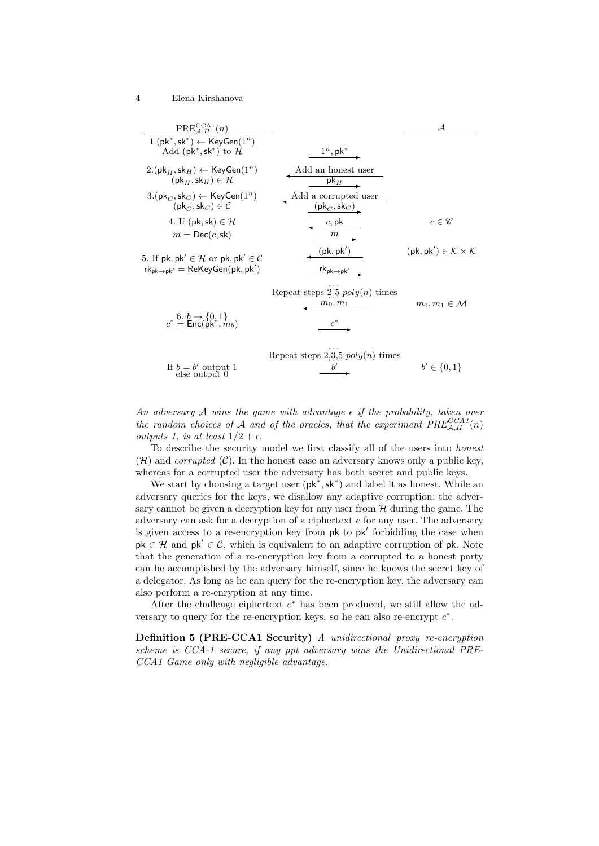| $PRE_{A\ \Pi}^{CCA1}(n)$                                                                                                  |                                                                         | $\mathcal{A}$                                                    |
|---------------------------------------------------------------------------------------------------------------------------|-------------------------------------------------------------------------|------------------------------------------------------------------|
| $1.(pk^*, sk^*) \leftarrow \text{KeyGen}(1^n)$<br>Add ( $pk^*$ , $sk^*$ ) to $H$                                          | $1^n,$ pk $^*$                                                          |                                                                  |
| $2.(\mathsf{pk}_H, \mathsf{sk}_H) \leftarrow \mathsf{KeyGen}(1^n)$<br>$(\mathsf{pk}_{H},\mathsf{sk}_{H}) \in \mathcal{H}$ | Add an honest user<br>$pk_{H}$                                          |                                                                  |
| $3.(\mathsf{pk}_C, \mathsf{sk}_C) \leftarrow \mathsf{KeyGen}(1^n)$<br>$(\mathsf{pk}_C, \mathsf{sk}_C) \in \mathcal{C}$    | Add a corrupted user<br>$[\mathsf{pk}_C, \mathsf{sk}_C)$                |                                                                  |
| 4. If $(\mathsf{pk}, \mathsf{sk}) \in \mathcal{H}$<br>$m = \textsf{Dec}(c, \textsf{sk})$                                  | c, pk<br>m                                                              | $c \in \mathscr{C}$                                              |
| 5. If pk, pk' $\in \mathcal{H}$ or pk, pk' $\in \mathcal{C}$<br>$rk_{pk\rightarrow pk'} = ReKeyGen(pk, pk')$              | $(\mathsf{pk}, \mathsf{pk}')$<br>$rk_{\text{pk}\rightarrow \text{pk}'}$ | $(\mathsf{pk}, \mathsf{pk}') \in \mathcal{K} \times \mathcal{K}$ |
| $c^* = \text{Enc}(\text{pk}^*, m_b)$                                                                                      | Repeat steps 2-5 $poly(n)$ times<br>$m_0, m_1$                          | $m_0, m_1 \in \mathcal{M}$                                       |
| If $k = k'$ output 1                                                                                                      | Repeat steps 2,3,5 $poly(n)$ times<br>$\mathbf{L}^{\prime}$             | $k'$ $\subset$ [0, 1]                                            |

An adversary  $A$  wins the game with advantage  $\epsilon$  if the probability, taken over the random choices of A and of the oracles, that the experiment  $PRE_{\mathcal{A},\Pi}^{CCCA1}(n)$ outputs 1, is at least  $1/2 + \epsilon$ .

 $b' \in \{0, 1\}$ 

If  $b = b'$  output 1  $\underline{b}$ 

To describe the security model we first classify all of the users into honest  $(H)$  and *corrupted*  $(C)$ . In the honest case an adversary knows only a public key, whereas for a corrupted user the adversary has both secret and public keys.

We start by choosing a target user  $(\mathsf{pk}^*, \mathsf{sk}^*)$  and label it as honest. While an adversary queries for the keys, we disallow any adaptive corruption: the adversary cannot be given a decryption key for any user from  $H$  during the game. The adversary can ask for a decryption of a ciphertext  $c$  for any user. The adversary is given access to a re-encryption key from pk to pk' forbidding the case when  $pk \in \mathcal{H}$  and  $pk' \in \mathcal{C}$ , which is equivalent to an adaptive corruption of pk. Note that the generation of a re-encryption key from a corrupted to a honest party can be accomplished by the adversary himself, since he knows the secret key of a delegator. As long as he can query for the re-encryption key, the adversary can also perform a re-enryption at any time.

After the challenge ciphertext  $c^*$  has been produced, we still allow the adversary to query for the re-encryption keys, so he can also re-encrypt  $c^*$ .

Definition 5 (PRE-CCA1 Security) A unidirectional proxy re-encryption scheme is CCA-1 secure, if any ppt adversary wins the Unidirectional PRE-CCA1 Game only with negligible advantage.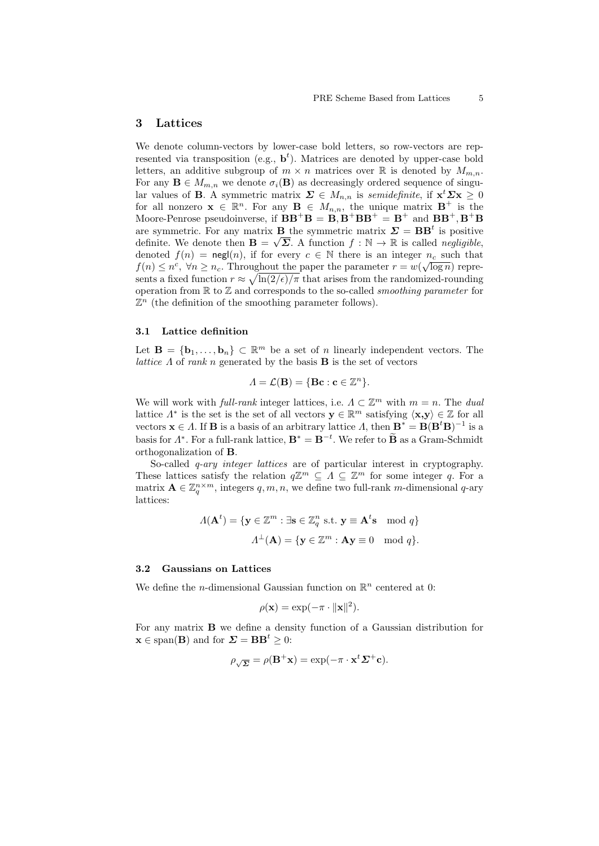# 3 Lattices

We denote column-vectors by lower-case bold letters, so row-vectors are represented via transposition (e.g.,  $\mathbf{b}^t$ ). Matrices are denoted by upper-case bold letters, an additive subgroup of  $m \times n$  matrices over  $\mathbb R$  is denoted by  $M_{m,n}$ . For any  $\mathbf{B} \in M_{m,n}$  we denote  $\sigma_i(\mathbf{B})$  as decreasingly ordered sequence of singular values of **B**. A symmetric matrix  $\Sigma \in M_{n,n}$  is semidefinite, if  $\mathbf{x}^t \Sigma \mathbf{x} \geq 0$ for all nonzero  $\mathbf{x} \in \mathbb{R}^n$ . For any  $\mathbf{B} \in M_{n,n}$ , the unique matrix  $\mathbf{B}^+$  is the Moore-Penrose pseudoinverse, if  $BB^{+}B = B$ ,  $B^{+}BB^{+} = B^{+}$  and  $BB^{+}$ ,  $B^{+}B$ are symmetric. For any matrix **B** the symmetric matrix  $\Sigma = BB^t$  is positive definite. We denote then  $\mathbf{B} = \sqrt{\Sigma}$ . A function  $f : \mathbb{N} \to \mathbb{R}$  is called *negligible*, denoted  $f(n) = \mathsf{negl}(n)$ , if for every  $c \in \mathbb{N}$  there is an integer  $n_c$  such that  $f(n) \leq n^c$ ,  $\forall n \geq n_c$ . Throughout the paper the parameter  $r = w(\sqrt{\log n})$  represents a fixed function  $r \approx \sqrt{\ln(2/\epsilon)/\pi}$  that arises from the randomized-rounding operation from  $\mathbb R$  to  $\mathbb Z$  and corresponds to the so-called *smoothing parameter* for  $\mathbb{Z}^n$  (the definition of the smoothing parameter follows).

#### 3.1 Lattice definition

Let  $\mathbf{B} = \{\mathbf{b}_1, \ldots, \mathbf{b}_n\} \subset \mathbb{R}^m$  be a set of n linearly independent vectors. The *lattice*  $\Lambda$  of rank n generated by the basis **B** is the set of vectors

$$
\Lambda = \mathcal{L}(\mathbf{B}) = \{ \mathbf{B}\mathbf{c} : \mathbf{c} \in \mathbb{Z}^n \}.
$$

We will work with *full-rank* integer lattices, i.e.  $\Lambda \subset \mathbb{Z}^m$  with  $m = n$ . The *dual* lattice  $\Lambda^*$  is the set is the set of all vectors  $\mathbf{y} \in \mathbb{R}^m$  satisfying  $\langle \mathbf{x}, \mathbf{y} \rangle \in \mathbb{Z}$  for all vectors  $\mathbf{x} \in A$ . If **B** is a basis of an arbitrary lattice A, then  $\mathbf{B}^* = \mathbf{B}(\mathbf{B}^t \mathbf{B})^{-1}$  is a basis for  $\Lambda^*$ . For a full-rank lattice,  $\mathbf{B}^* = \mathbf{B}^{-t}$ . We refer to  $\widetilde{\mathbf{B}}$  as a Gram-Schmidt orthogonalization of B.

So-called q-ary integer lattices are of particular interest in cryptography. These lattices satisfy the relation  $q\mathbb{Z}^m \subseteq \Lambda \subseteq \mathbb{Z}^m$  for some integer q. For a matrix  $\mathbf{A} \in \mathbb{Z}_q^{n \times m}$ , integers  $q, m, n$ , we define two full-rank m-dimensional q-ary lattices:

$$
\Lambda(\mathbf{A}^t) = \{ \mathbf{y} \in \mathbb{Z}^m : \exists \mathbf{s} \in \mathbb{Z}_q^n \text{ s.t. } \mathbf{y} \equiv \mathbf{A}^t \mathbf{s} \mod q \}
$$

$$
\Lambda^\perp(\mathbf{A}) = \{ \mathbf{y} \in \mathbb{Z}^m : \mathbf{A}\mathbf{y} \equiv 0 \mod q \}.
$$

### 3.2 Gaussians on Lattices

We define the *n*-dimensional Gaussian function on  $\mathbb{R}^n$  centered at 0:

$$
\rho(\mathbf{x}) = \exp(-\pi \cdot \|\mathbf{x}\|^2).
$$

For any matrix B we define a density function of a Gaussian distribution for  $\mathbf{x} \in \text{span}(\mathbf{B})$  and for  $\mathbf{\Sigma} = \mathbf{BB}^t \geq 0$ :

$$
\rho_{\sqrt{\Sigma}} = \rho(\mathbf{B}^+\mathbf{x}) = \exp(-\pi \cdot \mathbf{x}^t \Sigma^+ \mathbf{c}).
$$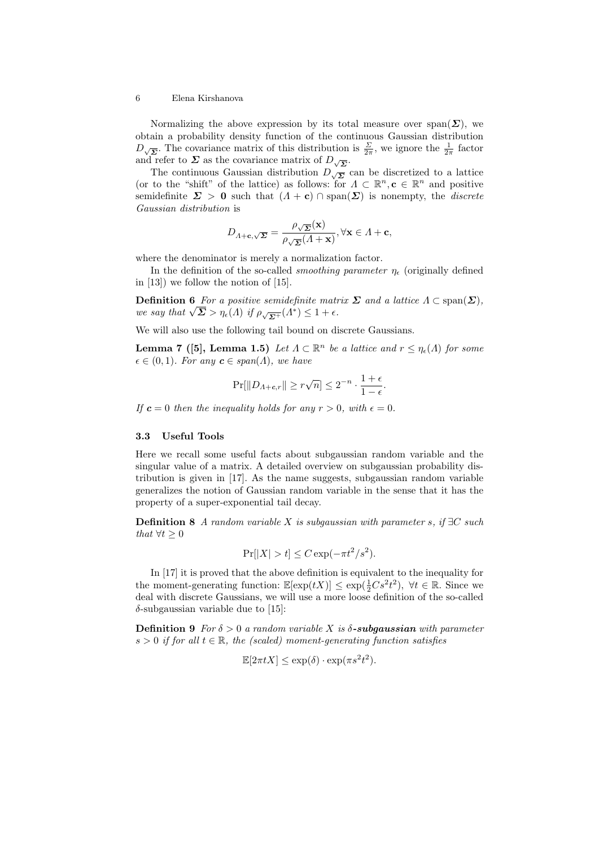Normalizing the above expression by its total measure over  $\text{span}(\Sigma)$ , we obtain a probability density function of the continuous Gaussian distribution  $D_{\sqrt{\Sigma}}$ . The covariance matrix of this distribution is  $\frac{\Sigma}{2\pi}$ , we ignore the  $\frac{1}{2\pi}$  factor and refer to  $\Sigma$  as the covariance matrix of  $D_{\sqrt{\Sigma}}$ .

The continuous Gaussian distribution  $D_{\sqrt{\Sigma}}$  can be discretized to a lattice (or to the "shift" of the lattice) as follows: for  $\Lambda \subset \mathbb{R}^n, \mathbf{c} \in \mathbb{R}^n$  and positive semidefinite  $\Sigma > 0$  such that  $(A + c) \cap \text{span}(\Sigma)$  is nonempty, the *discrete* Gaussian distribution is

$$
D_{A+\mathbf{c},\sqrt{\mathbf{\Sigma}}} = \frac{\rho_{\sqrt{\mathbf{\Sigma}}}(\mathbf{x})}{\rho_{\sqrt{\mathbf{\Sigma}}}(A+\mathbf{x})}, \forall \mathbf{x} \in A+\mathbf{c},
$$

where the denominator is merely a normalization factor.

In the definition of the so-called *smoothing parameter*  $\eta_e$  (originally defined in [13]) we follow the notion of [15].

**Definition 6** For a positive semidefinite matrix  $\Sigma$  and a lattice  $\Lambda \subset \text{span}(\Sigma)$ , **Definition 6** For a positive semal prince math<br>we say that  $\sqrt{\Sigma} > \eta_{\epsilon}(A)$  if  $\rho_{\sqrt{\Sigma^{+}}}(A^{*}) \leq 1 + \epsilon$ .

We will also use the following tail bound on discrete Gaussians.

**Lemma 7** ([5], Lemma 1.5) Let  $\Lambda \subset \mathbb{R}^n$  be a lattice and  $r \leq \eta_{\epsilon}(\Lambda)$  for some  $\epsilon \in (0, 1)$ . For any  $\mathbf{c} \in span(\Lambda)$ , we have

$$
\Pr[\|D_{\varLambda+c,r}\|\geq r\sqrt{n}]\leq 2^{-n}\cdot\frac{1+\epsilon}{1-\epsilon}.
$$

If  $c = 0$  then the inequality holds for any  $r > 0$ , with  $\epsilon = 0$ .

### 3.3 Useful Tools

Here we recall some useful facts about subgaussian random variable and the singular value of a matrix. A detailed overview on subgaussian probability distribution is given in [17]. As the name suggests, subgaussian random variable generalizes the notion of Gaussian random variable in the sense that it has the property of a super-exponential tail decay.

**Definition 8** A random variable X is subgaussian with parameter s, if  $\exists C$  such that  $\forall t \geq 0$ 

$$
\Pr[|X| > t] \le C \exp(-\pi t^2 / s^2).
$$

In [17] it is proved that the above definition is equivalent to the inequality for the moment-generating function:  $\mathbb{E}[\exp(tX)] \leq \exp(\frac{1}{2}Cs^2t^2)$ ,  $\forall t \in \mathbb{R}$ . Since we deal with discrete Gaussians, we will use a more loose definition of the so-called  $\delta$ -subgaussian variable due to [15]:

**Definition 9** For  $\delta > 0$  a random variable X is  $\delta$ -subgaussian with parameter  $s > 0$  if for all  $t \in \mathbb{R}$ , the (scaled) moment-generating function satisfies

$$
\mathbb{E}[2\pi t X] \le \exp(\delta) \cdot \exp(\pi s^2 t^2).
$$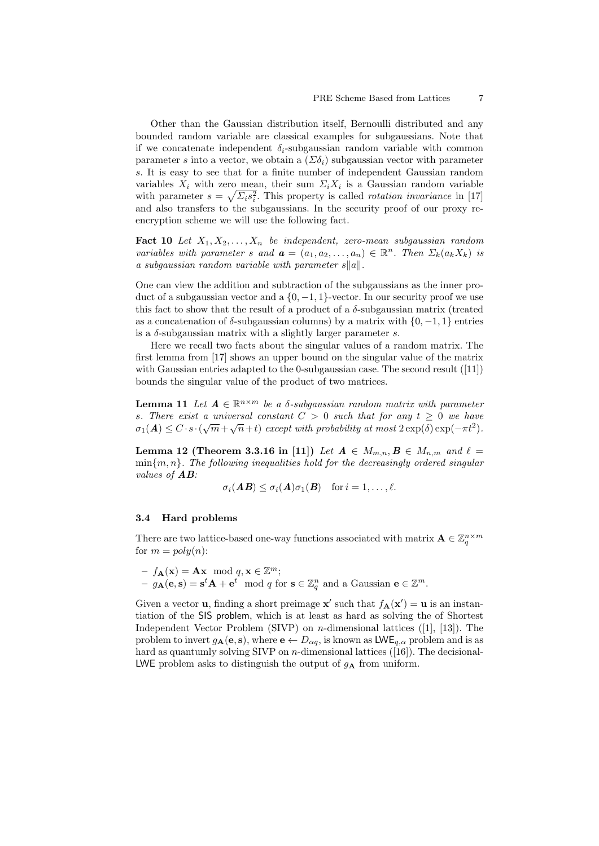Other than the Gaussian distribution itself, Bernoulli distributed and any bounded random variable are classical examples for subgaussians. Note that if we concatenate independent  $\delta_i$ -subgaussian random variable with common parameter s into a vector, we obtain a  $(\Sigma \delta_i)$  subgaussian vector with parameter s. It is easy to see that for a finite number of independent Gaussian random variables  $X_i$  with zero mean, their sum  $\Sigma_i X_i$  is a Gaussian random variable with parameter  $s = \sqrt{\sum_i s_i^2}$ . This property is called *rotation invariance* in [17] and also transfers to the subgaussians. In the security proof of our proxy reencryption scheme we will use the following fact.

**Fact 10** Let  $X_1, X_2, \ldots, X_n$  be independent, zero-mean subgaussian random variables with parameter s and  $\mathbf{a} = (a_1, a_2, \dots, a_n) \in \mathbb{R}^n$ . Then  $\Sigma_k(a_k X_k)$  is a subgaussian random variable with parameter  $s||a||$ .

One can view the addition and subtraction of the subgaussians as the inner product of a subgaussian vector and a  $\{0, -1, 1\}$ -vector. In our security proof we use this fact to show that the result of a product of a  $\delta$ -subgaussian matrix (treated as a concatenation of  $\delta$ -subgaussian columns) by a matrix with  $\{0, -1, 1\}$  entries is a  $\delta$ -subgaussian matrix with a slightly larger parameter s.

Here we recall two facts about the singular values of a random matrix. The first lemma from [17] shows an upper bound on the singular value of the matrix with Gaussian entries adapted to the 0-subgaussian case. The second result  $(11)$ bounds the singular value of the product of two matrices.

**Lemma 11** Let  $A \in \mathbb{R}^{n \times m}$  be a  $\delta$ -subgaussian random matrix with parameter s. There exist a universal constant  $C > 0$  such that for any  $t \geq 0$  we have  $\sigma_1(\mathbf{A}) \leq C \cdot s \cdot (\sqrt{m} + \sqrt{n} + t)$  except with probability at most  $2 \exp(\delta) \exp(-\pi t^2)$ .

Lemma 12 (Theorem 3.3.16 in [11]) Let  $A \in M_{m,n}$ ,  $B \in M_{n,m}$  and  $\ell =$  $\min\{m, n\}$ . The following inequalities hold for the decreasingly ordered singular values of AB:

$$
\sigma_i(\mathbf{A}\mathbf{B}) \leq \sigma_i(\mathbf{A})\sigma_1(\mathbf{B}) \quad \text{for } i = 1,\ldots,\ell.
$$

#### 3.4 Hard problems

There are two lattice-based one-way functions associated with matrix  $\mathbf{A} \in \mathbb{Z}_q^{n \times m}$ for  $m = poly(n)$ :

- 
$$
f_{\mathbf{A}}(\mathbf{x}) = \mathbf{A}\mathbf{x} \mod q, \mathbf{x} \in \mathbb{Z}^m;
$$
  
\n-  $g_{\mathbf{A}}(\mathbf{e}, \mathbf{s}) = \mathbf{s}^t \mathbf{A} + \mathbf{e}^t \mod q \text{ for } \mathbf{s} \in \mathbb{Z}_q^n \text{ and a Gaussian } \mathbf{e} \in \mathbb{Z}^m.$ 

Given a vector **u**, finding a short preimage **x'** such that  $f_{\mathbf{A}}(\mathbf{x}') = \mathbf{u}$  is an instantiation of the SIS problem, which is at least as hard as solving the of Shortest Independent Vector Problem (SIVP) on n-dimensional lattices ([1], [13]). The problem to invert  $g_{\mathbf{A}}(\mathbf{e}, \mathbf{s})$ , where  $\mathbf{e} \leftarrow D_{\alpha q}$ , is known as  $\mathsf{LWE}_{q,\alpha}$  problem and is as hard as quantumly solving SIVP on  $n$ -dimensional lattices ([16]). The decisional-LWE problem asks to distinguish the output of  $g_{\mathbf{A}}$  from uniform.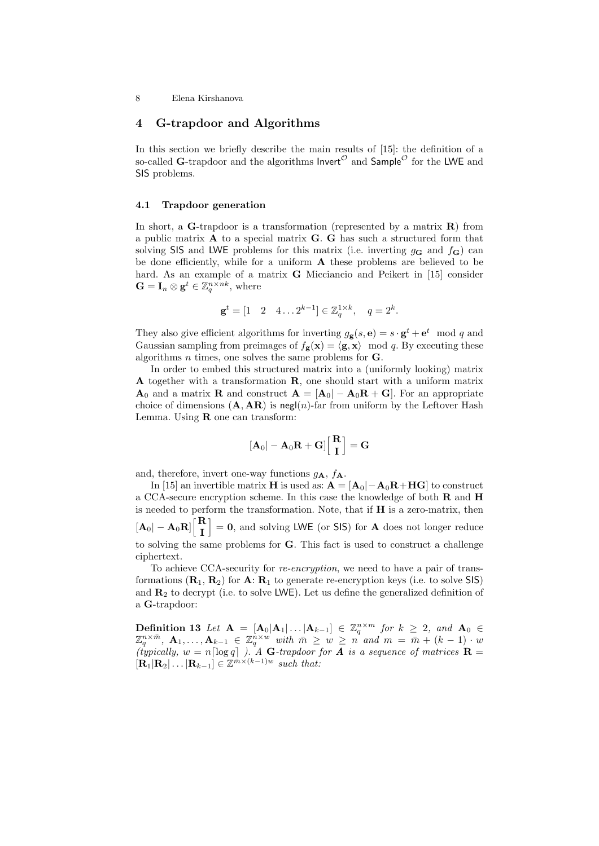# 4 G-trapdoor and Algorithms

In this section we briefly describe the main results of [15]: the definition of a so-called G-trapdoor and the algorithms Invert<sup> $\mathcal{O}$ </sup> and  $\mathsf{Sample}^{\mathcal{O}}$  for the LWE and SIS problems.

### 4.1 Trapdoor generation

In short, a  $G$ -trapdoor is a transformation (represented by a matrix  $R$ ) from a public matrix  $\bf{A}$  to a special matrix  $\bf{G}$ .  $\bf{G}$  has such a structured form that solving SIS and LWE problems for this matrix (i.e. inverting  $g_{\mathbf{G}}$  and  $f_{\mathbf{G}}$ ) can be done efficiently, while for a uniform  $A$  these problems are believed to be hard. As an example of a matrix G Micciancio and Peikert in [15] consider  $\mathbf{G} = \mathbf{I}_n \otimes \mathbf{g}^t \in \mathbb{Z}_q^{n \times nk}$ , where

$$
\mathbf{g}^t = [1 \quad 2 \quad 4 \dots 2^{k-1}] \in \mathbb{Z}_q^{1 \times k}, \quad q = 2^k.
$$

They also give efficient algorithms for inverting  $g_{\mathbf{g}}(s, \mathbf{e}) = s \cdot \mathbf{g}^t + \mathbf{e}^t \mod q$  and Gaussian sampling from preimages of  $f_{\mathbf{g}}(\mathbf{x}) = \langle \mathbf{g}, \mathbf{x} \rangle \mod q$ . By executing these algorithms  $n$  times, one solves the same problems for **.** 

In order to embed this structured matrix into a (uniformly looking) matrix A together with a transformation R, one should start with a uniform matrix  $\mathbf{A}_0$  and a matrix **R** and construct  $\mathbf{A} = [\mathbf{A}_0] - \mathbf{A}_0 \mathbf{R} + \mathbf{G}$ . For an appropriate choice of dimensions  $(A, AR)$  is negl $(n)$ -far from uniform by the Leftover Hash Lemma. Using  **one can transform:** 

$$
[\mathbf{A}_0|-\mathbf{A}_0\mathbf{R}+\mathbf{G}]\Big[\frac{\mathbf{R}}{\mathbf{I}}\Big]=\mathbf{G}
$$

and, therefore, invert one-way functions  $g_{\mathbf{A}}, f_{\mathbf{A}}$ .

In [15] an invertible matrix **H** is used as:  $A = [A_0] - A_0R + HG$  to construct a CCA-secure encryption scheme. In this case the knowledge of both R and H is needed to perform the transformation. Note, that if H is a zero-matrix, then  $[\mathbf{A}_0|-\mathbf{A}_0\mathbf{R}]\Big\lceil \frac{\mathbf{R}}{\mathbf{I}}$ I  $\big] = 0$ , and solving LWE (or SIS) for **A** does not longer reduce to solving the same problems for G. This fact is used to construct a challenge ciphertext.

To achieve CCA-security for re-encryption, we need to have a pair of transformations  $(\mathbf{R}_1, \mathbf{R}_2)$  for  $\mathbf{A}$ :  $\mathbf{R}_1$  to generate re-encryption keys (i.e. to solve SIS) and  $\mathbb{R}_2$  to decrypt (i.e. to solve LWE). Let us define the generalized definition of a G-trapdoor:

Definition 13 Let  $\mathbf{A} = [\mathbf{A}_0 | \mathbf{A}_1 | \dots | \mathbf{A}_{k-1}] \in \mathbb{Z}_q^{n \times m}$  for  $k \geq 2$ , and  $\mathbf{A}_0 \in$  $\mathbb{Z}_q^{n\times \bar{m}}$ ,  $\mathbf{A}_1,\ldots,\mathbf{A}_{k-1}\,\in\,\mathbb{Z}_q^{\bar{n}\times w}$  with  $\bar{m}\,\geq\,w\,\geq\,n$  and  $m\,=\,\bar{m}+(k-1)\cdot w$ (typically,  $w = n \lceil \log q \rceil$ ). A G-trapdoor for **A** is a sequence of matrices **R** =  $[\mathbf{R}_1|\mathbf{R}_2|\dots|\mathbf{R}_{k-1}] \in \mathbb{Z}^{\bar{m}\times(k-1)w}$  such that: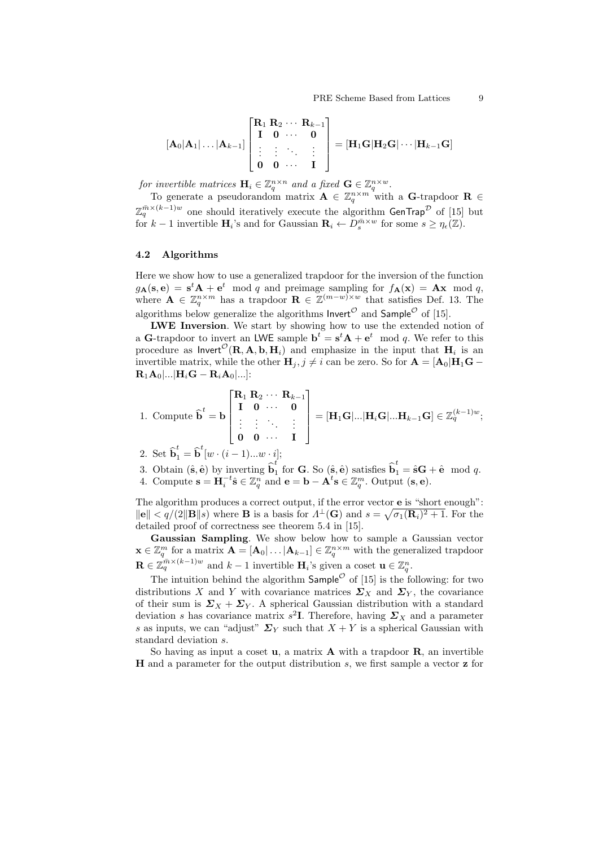$$
[\mathbf{A}_0|\mathbf{A}_1|\dots|\mathbf{A}_{k-1}] \begin{bmatrix} \mathbf{R}_1 \ \mathbf{R}_2 \cdots \ \mathbf{R}_{k-1} \\ \mathbf{I} \quad \mathbf{0} \quad \cdots \quad \mathbf{0} \\ \vdots & \vdots & \ddots & \vdots \\ \mathbf{0} \quad \mathbf{0} \quad \cdots \quad \mathbf{I} \end{bmatrix} = [\mathbf{H}_1 \mathbf{G} | \mathbf{H}_2 \mathbf{G} | \cdots | \mathbf{H}_{k-1} \mathbf{G} ]
$$

for invertible matrices  $\mathbf{H}_i \in \mathbb{Z}_q^{n \times n}$  and a fixed  $\mathbf{G} \in \mathbb{Z}_q^{n \times w}$ .

To generate a pseudorandom matrix  $\mathbf{A} \in \mathbb{Z}_q^{n \times m}$  with a G-trapdoor  $\mathbf{R} \in$  $\mathbb{Z}_q^{\bar{m}\times (k-1)w}$  one should iteratively execute the algorithm  $\mathsf{GenTrap}^\mathcal D$  of [15] but for  $k-1$  invertible  $\mathbf{H}_i$ 's and for Gaussian  $\mathbf{R}_i \leftarrow D_s^{\bar{m} \times w}$  for some  $s \geq \eta_{\epsilon}(\mathbb{Z})$ .

### 4.2 Algorithms

Here we show how to use a generalized trapdoor for the inversion of the function  $g_{\mathbf{A}}(\mathbf{s}, \mathbf{e}) = \mathbf{s}^t \mathbf{A} + \mathbf{e}^t \mod q$  and preimage sampling for  $f_{\mathbf{A}}(\mathbf{x}) = \mathbf{A}\mathbf{x} \mod q$ , where  $\mathbf{A} \in \mathbb{Z}_q^{n \times m}$  has a trapdoor  $\mathbf{R} \in \mathbb{Z}^{(m-w)\times w}$  that satisfies Def. 13. The algorithms below generalize the algorithms  ${\sf Invert}^{\cal O}$  and  ${\sf Sample}^{\cal O}$  of [15].

LWE Inversion. We start by showing how to use the extended notion of a G-trapdoor to invert an LWE sample  $\mathbf{b}^t = \mathbf{s}^t \mathbf{A} + \mathbf{e}^t \mod q$ . We refer to this procedure as  $\mathsf{Invert}^{\mathcal{O}}(\mathbf{R}, \mathbf{A}, \mathbf{b}, \mathbf{H}_i)$  and emphasize in the input that  $\mathbf{H}_i$  is an invertible matrix, while the other  $H_j$ ,  $j \neq i$  can be zero. So for  $A = [A_0|H_1G \mathbf{R}_1\mathbf{A}_0$ |...| $\mathbf{H}_i\mathbf{G} - \mathbf{R}_i\mathbf{A}_0$ |...|:

1. Compute 
$$
\hat{\mathbf{b}}^t = \mathbf{b} \begin{bmatrix} \mathbf{R}_1 & \mathbf{R}_2 & \cdots & \mathbf{R}_{k-1} \\ \mathbf{I} & \mathbf{0} & \cdots & \mathbf{0} \\ \vdots & \vdots & \ddots & \vdots \\ \mathbf{0} & \mathbf{0} & \cdots & \mathbf{I} \end{bmatrix} = [\mathbf{H}_1 \mathbf{G} | \dots | \mathbf{H}_i \mathbf{G} | \dots \mathbf{H}_{k-1} \mathbf{G}] \in \mathbb{Z}_q^{(k-1)w};
$$

2. Set  $\widehat{\mathbf{b}}_1^t = \widehat{\mathbf{b}}^t[w \cdot (i-1)...w \cdot i];$ 

3. Obtain  $(\hat{\mathbf{s}}, \hat{\mathbf{e}})$  by inverting  $\hat{\mathbf{b}}_1^t$  $\hat{\mathbf{h}}_1^t$  for **G**. So  $(\hat{\mathbf{s}}, \hat{\mathbf{e}})$  satisfies  $\hat{\mathbf{b}}_1^t = \hat{\mathbf{s}}\mathbf{G} + \hat{\mathbf{e}} \mod q$ . 4. Compute  $\mathbf{s} = \mathbf{H}_i^{-t} \hat{\mathbf{s}} \in \mathbb{Z}_q^n$  and  $\mathbf{e} = \mathbf{b} - \mathbf{A}^t \mathbf{s} \in \mathbb{Z}_q^m$ . Output  $(\mathbf{s}, \mathbf{e})$ .

The algorithm produces a correct output, if the error vector **e** is "short enough":  $\|\mathbf{e}\| < q/(2\|\mathbf{B}\|s)$  where **B** is a basis for  $\Lambda^{\perp}(\mathbf{G})$  and  $s = \sqrt{\sigma_1(\mathbf{R}_i)^2 + 1}$ . For the detailed proof of correctness see theorem 5.4 in [15].

Gaussian Sampling. We show below how to sample a Gaussian vector  $\mathbf{x} \in \mathbb{Z}_q^m$  for a matrix  $\mathbf{A} = [\mathbf{A}_0 | \dots | \mathbf{A}_{k-1}] \in \mathbb{Z}_q^{n \times m}$  with the generalized trapdoor  $\mathbf{R} \in \mathbb{Z}_q^{\bar{m} \times (k-1)w}$  and  $k-1$  invertible  $\mathbf{H}_i$ 's given a coset  $\mathbf{u} \in \mathbb{Z}_q^n$ .

The intuition behind the algorithm  $\mathsf{Sample}^{\mathcal{O}}$  of [15] is the following: for two distributions X and Y with covariance matrices  $\Sigma_X$  and  $\Sigma_Y$ , the covariance of their sum is  $\Sigma_X + \Sigma_Y$ . A spherical Gaussian distribution with a standard deviation s has covariance matrix  $s^2$ **I**. Therefore, having  $\Sigma_X$  and a parameter s as inputs, we can "adjust"  $\Sigma_Y$  such that  $X + Y$  is a spherical Gaussian with standard deviation s.

So having as input a coset  $\mathbf{u}$ , a matrix  $\mathbf{A}$  with a trapdoor  $\mathbf{R},$  an invertible H and a parameter for the output distribution s, we first sample a vector z for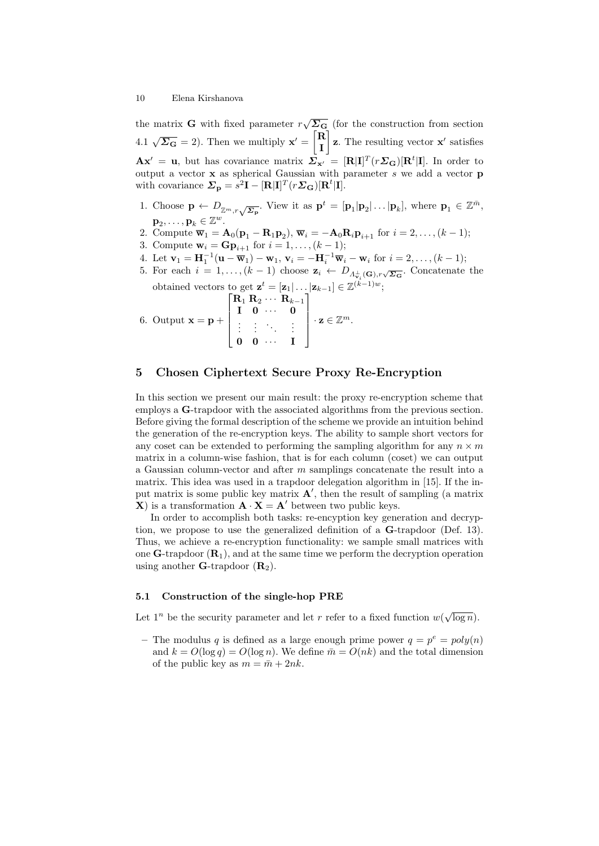the matrix **G** with fixed parameter  $r\sqrt{\Sigma_{\mathbf{G}}}$  (for the construction from section 4.1  $\sqrt{\Sigma_{\mathbf{G}}}$  = 2). Then we multiply  $\mathbf{x}' = \begin{bmatrix} \mathbf{R} \\ \mathbf{I} \end{bmatrix}$ I  $\mathbf{z}$ . The resulting vector  $\mathbf{x}'$  satisfies  $\mathbf{A}\mathbf{x}' = \mathbf{u}$ , but has covariance matrix  $\overline{\mathbf{\Sigma}}_{\mathbf{x}'} = [\mathbf{R}|\mathbf{I}]^T(r\mathbf{\Sigma}_{\mathbf{G}})[\mathbf{R}^t|\mathbf{I}]$ . In order to output a vector  $x$  as spherical Gaussian with parameter  $s$  we add a vector  $p$ with covariance  $\mathbf{\Sigma}_{\mathbf{p}} = s^2 \mathbf{I} - [\mathbf{R}|\mathbf{I}]^T (r \mathbf{\Sigma}_{\mathbf{G}}) [\mathbf{R}^t | \mathbf{I}].$ 

- 1. Choose  $\mathbf{p} \leftarrow D_{\mathbb{Z}^m, r} \sqrt{\Sigma_{\mathbf{p}}}.$  View it as  $\mathbf{p}^t = [\mathbf{p}_1 | \mathbf{p}_2 | \dots | \mathbf{p}_k],$  where  $\mathbf{p}_1 \in \mathbb{Z}^{\bar{m}}$ ,  ${\bf p}_2, \ldots, {\bf p}_k \in \mathbb Z^w.$
- 2. Compute  $\overline{\mathbf{w}}_1 = \mathbf{A}_0(\mathbf{p}_1 \mathbf{R}_1 \mathbf{p}_2), \overline{\mathbf{w}}_i = -\mathbf{A}_0 \mathbf{R}_i \mathbf{p}_{i+1}$  for  $i = 2, \ldots, (k-1);$
- 3. Compute  $w_i = \mathbf{G} \mathbf{p}_{i+1}$  for  $i = 1, ..., (k-1)$ ;
- 4. Let  $\mathbf{v}_1 = \mathbf{H}_1^{-1}(\mathbf{u} \overline{\mathbf{w}}_1) \mathbf{w}_1, \mathbf{v}_i = -\mathbf{H}_i^{-1} \overline{\mathbf{w}}_i \mathbf{w}_i$  for  $i = 2, ..., (k-1);$
- 5. For each  $i = 1, ..., (k-1)$  choose  $\mathbf{z}_i \leftarrow D_{\Lambda_{\mathbf{v}_i}^{\perp}(\mathbf{G}), r\sqrt{\Sigma_{\mathbf{G}}}}$ . Concatenate the obtained vectors to get  $\mathbf{z}^t = [\mathbf{z}_1 | \dots | \mathbf{z}_{k-1}] \in \mathbb{Z}^{(k-1)w}$ ;

6. Output 
$$
\mathbf{x} = \mathbf{p} + \begin{bmatrix} R_1 R_2 \cdots R_{k-1} \\ \mathbf{I} & \mathbf{0} & \cdots & \mathbf{0} \\ \vdots & \vdots & \ddots & \vdots \\ \mathbf{0} & \mathbf{0} & \cdots & \mathbf{I} \end{bmatrix} \cdot \mathbf{z} \in \mathbb{Z}^m.
$$

# 5 Chosen Ciphertext Secure Proxy Re-Encryption

In this section we present our main result: the proxy re-encryption scheme that employs a G-trapdoor with the associated algorithms from the previous section. Before giving the formal description of the scheme we provide an intuition behind the generation of the re-encryption keys. The ability to sample short vectors for any coset can be extended to performing the sampling algorithm for any  $n \times m$ matrix in a column-wise fashion, that is for each column (coset) we can output a Gaussian column-vector and after m samplings concatenate the result into a matrix. This idea was used in a trapdoor delegation algorithm in [15]. If the input matrix is some public key matrix  $\mathbf{A}'$ , then the result of sampling (a matrix **X**) is a transformation  $\mathbf{A} \cdot \mathbf{X} = \mathbf{A}'$  between two public keys.

In order to accomplish both tasks: re-encyption key generation and decryption, we propose to use the generalized definition of a G-trapdoor (Def. 13). Thus, we achieve a re-encryption functionality: we sample small matrices with one  $G$ -trapdoor  $(R_1)$ , and at the same time we perform the decryption operation using another **G**-trapdoor  $(\mathbf{R}_2)$ .

### 5.1 Construction of the single-hop PRE

Let  $1^n$  be the security parameter and let r refer to a fixed function  $w(\sqrt{\log n})$ .

- The modulus q is defined as a large enough prime power  $q = p^e = poly(n)$ and  $k = O(\log q) = O(\log n)$ . We define  $\bar{m} = O(nk)$  and the total dimension of the public key as  $m = \bar{m} + 2nk$ .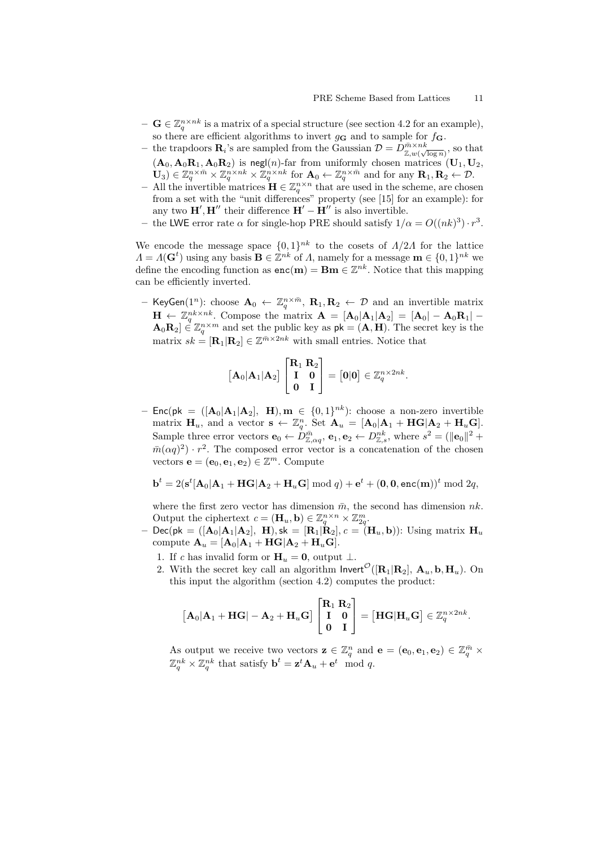- $-\mathbf{G} \in \mathbb{Z}_q^{n \times nk}$  is a matrix of a special structure (see section 4.2 for an example), so there are efficient algorithms to invert  $g_{\mathbf{G}}$  and to sample for  $f_{\mathbf{G}}$ .
- the trapdoors  $\mathbf{R}_i$ 's are sampled from the Gaussian  $\mathcal{D} = D_{\mathbb{Z},w(\sqrt{\log n}}^{\bar{m} \times nk}$ , so that  $(A_0, A_0R_1, A_0R_2)$  is negl(n)-far from uniformly chosen matrices  $(U_1, U_2,$  $(\mathbf{U}_3) \in \mathbb{Z}_q^{n \times \bar{m}} \times \mathbb{Z}_q^{n \times n k} \times \mathbb{Z}_q^{n \times n k}$  for  $\mathbf{A}_0 \leftarrow \mathbb{Z}_q^{n \times \bar{m}}$  and for any  $\mathbf{R}_1, \mathbf{R}_2 \leftarrow \mathcal{D}$ .
- All the invertible matrices  $\mathbf{H} \in \mathbb{Z}_q^{n \times n}$  that are used in the scheme, are chosen from a set with the "unit differences" property (see [15] for an example): for any two  $\mathbf{H}', \mathbf{H}''$  their difference  $\mathbf{H}' - \mathbf{H}''$  is also invertible.
- the LWE error rate  $\alpha$  for single-hop PRE should satisfy  $1/\alpha = O((nk)^3) \cdot r^3$ .

We encode the message space  $\{0,1\}^{nk}$  to the cosets of  $A/2A$  for the lattice  $\Lambda = \Lambda(\mathbf{G}^t)$  using any basis  $\mathbf{B} \in \mathbb{Z}^{nk}$  of  $\Lambda$ , namely for a message  $\mathbf{m} \in \{0,1\}^{nk}$  we define the encoding function as  $enc(m) = Bm \in \mathbb{Z}^{nk}$ . Notice that this mapping can be efficiently inverted.

- KeyGen(1<sup>n</sup>): choose  $\mathbf{A}_0 \leftarrow \mathbb{Z}_q^{n \times \bar{m}}$ ,  $\mathbf{R}_1, \mathbf{R}_2 \leftarrow \mathcal{D}$  and an invertible matrix  $\mathbf{H} \leftarrow \mathbb{Z}_q^{nk \times nk}$ . Compose the matrix  $\mathbf{A} = [\mathbf{A}_0 | \mathbf{A}_1 | \mathbf{A}_2] = [\mathbf{A}_0 | - \mathbf{A}_0 \mathbf{R}_1] \mathbf{A}_0 \mathbf{R}_2$   $\in \mathbb{Z}_q^{n \times m}$  and set the public key as  $\mathsf{pk} = (\mathbf{A}, \mathbf{H})$ . The secret key is the matrix  $sk = [\mathbf{R}_1 | \mathbf{R}_2] \in \mathbb{Z}^{\bar{m} \times 2nk}$  with small entries. Notice that

$$
\begin{bmatrix} \mathbf{A}_0 | \mathbf{A}_1 | \mathbf{A}_2 \end{bmatrix} \begin{bmatrix} \mathbf{R}_1 & \mathbf{R}_2 \\ \mathbf{I} & \mathbf{0} \\ \mathbf{0} & \mathbf{I} \end{bmatrix} = \begin{bmatrix} \mathbf{0} | \mathbf{0} \end{bmatrix} \in \mathbb{Z}_q^{n \times 2nk}.
$$

- Enc(pk =  $([\mathbf{A}_0|\mathbf{A}_1|\mathbf{A}_2], \mathbf{H}), \mathbf{m} \in \{0,1\}^{nk}$ ): choose a non-zero invertible matrix  $\mathbf{H}_u$ , and a vector  $\mathbf{s} \leftarrow \mathbb{Z}_q^n$ . Set  $\mathbf{A}_u = [\mathbf{A}_0 | \mathbf{A}_1 + \mathbf{H} \mathbf{G} | \mathbf{A}_2 + \mathbf{H}_u \mathbf{G}].$ Sample three error vectors  $\mathbf{e}_0 \leftarrow D_{\mathbb{Z}, \alpha q}^{\bar{m}}$ ,  $\mathbf{e}_1, \mathbf{e}_2 \leftarrow D_{\mathbb{Z}, s}^{nk}$ , where  $s^2 = (\|\mathbf{e}_0\|^2 + \|\mathbf{e}_0\|^2 + \|\mathbf{e}_0\|^2)$  $\bar{m}(\alpha q)^2$   $\cdot$  r<sup>2</sup>. The composed error vector is a concatenation of the chosen vectors  $\mathbf{e} = (\mathbf{e}_0, \mathbf{e}_1, \mathbf{e}_2) \in \mathbb{Z}^m$ . Compute

$$
\mathbf{b}^t = 2(\mathbf{s}^t[\mathbf{A}_0|\mathbf{A}_1 + \mathbf{H}\mathbf{G}|\mathbf{A}_2 + \mathbf{H}_u\mathbf{G}] \bmod q) + \mathbf{e}^t + (\mathbf{0}, \mathbf{0}, \mathbf{enc}(\mathbf{m}))^t \bmod 2q,
$$

where the first zero vector has dimension  $\bar{m}$ , the second has dimension nk. Output the ciphertext  $c = (\mathbf{H}_u, \mathbf{b}) \in \mathbb{Z}_q^{n \times n} \times \mathbb{Z}_{2q}^m$ .

- $\text{Dec}(\mathsf{pk} = ([\mathbf{A}_0|\mathbf{A}_1|\mathbf{A}_2], \mathbf{H}), \mathsf{sk} = [\mathbf{R}_1|\mathbf{R}_2], c = (\mathbf{H}_u, \mathbf{b})$ : Using matrix  $\mathbf{H}_u$ compute  $\mathbf{A}_u = [\mathbf{A}_0 | \mathbf{A}_1 + \mathbf{H} \mathbf{G} | \mathbf{A}_2 + \mathbf{H}_u \mathbf{G}].$ 
	- 1. If c has invalid form or  $\mathbf{H}_u = \mathbf{0}$ , output  $\perp$ .
	- 2. With the secret key call an algorithm  $\text{Invert}^{\mathcal{O}}([\mathbf{R}_1|\mathbf{R}_2], \mathbf{A}_u, \mathbf{b}, \mathbf{H}_u)$ . On this input the algorithm (section 4.2) computes the product:

$$
\begin{bmatrix} \mathbf{A}_0 | \mathbf{A}_1 + \mathbf{H} \mathbf{G} | - \mathbf{A}_2 + \mathbf{H}_u \mathbf{G} \end{bmatrix} \begin{bmatrix} \mathbf{R}_1 & \mathbf{R}_2 \\ \mathbf{I} & \mathbf{0} \\ \mathbf{0} & \mathbf{I} \end{bmatrix} = \begin{bmatrix} \mathbf{H} \mathbf{G} | \mathbf{H}_u \mathbf{G} \end{bmatrix} \in \mathbb{Z}_q^{n \times 2nk}.
$$

As output we receive two vectors  $\mathbf{z} \in \mathbb{Z}_q^n$  and  $\mathbf{e} = (\mathbf{e}_0, \mathbf{e}_1, \mathbf{e}_2) \in \mathbb{Z}_q^{\bar{m}} \times$  $\mathbb{Z}_q^{nk} \times \mathbb{Z}_q^{nk}$  that satisfy  $\mathbf{b}^t = \mathbf{z}^t \mathbf{A}_u + \mathbf{e}^t \mod q$ .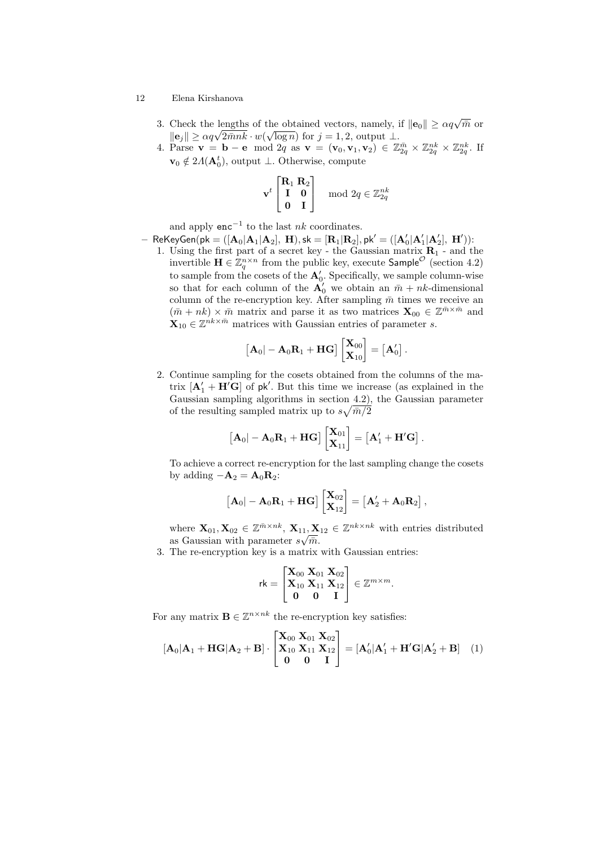- 3. Check the lengths of the obtained vectors, namely, if  $||\mathbf{e}_0|| \ge \alpha q \sqrt{\bar{m}}$  or Check the lengths of the obtained vectors, namely,  $\|\mathbf{e}_j\| \ge \alpha q \sqrt{2mnk} \cdot w(\sqrt{\log n})$  for  $j = 1, 2$ , output  $\perp$ .
- 4. Parse  $\mathbf{v} = \mathbf{b} \mathbf{e} \mod 2q$  as  $\mathbf{v} = (\mathbf{v}_0, \mathbf{v}_1, \mathbf{v}_2) \in \mathbb{Z}_{2q}^{\bar{m}} \times \mathbb{Z}_{2q}^{nk} \times \mathbb{Z}_{2q}^{nk}$ . If  $\mathbf{v}_0 \notin 2A(\mathbf{A}_0^t)$ , output ⊥. Otherwise, compute

$$
\mathbf{v}^t \begin{bmatrix} \mathbf{R}_1 \ \mathbf{R}_2 \\ \mathbf{I} & \mathbf{0} \\ \mathbf{0} & \mathbf{I} \end{bmatrix} \mod 2q \in \mathbb{Z}_{2q}^{nk}
$$

and apply  $enc^{-1}$  to the last *nk* coordinates.

 $-$  ReKeyGen $($ pk  $= ([A_0|A_1|A_2], H),$ sk  $= [\mathbf{R}_1|\mathbf{R}_2],$  pk'  $= ([\mathbf{A}_0'|\mathbf{A}_1'|\mathbf{A}_2'], H'))$ : 1. Using the first part of a secret key - the Gaussian matrix  $\mathbf{R}_1$  - and the invertible  $\mathbf{H} \in \mathbb{Z}_q^{n \times n}$  from the public key, execute  $\mathsf{Sample}^{\mathcal{O}}$  (section 4.2) to sample from the cosets of the  $A'_0$ . Specifically, we sample column-wise so that for each column of the  $\mathbf{A}'_0$  we obtain an  $\bar{m} + nk$ -dimensional column of the re-encryption key. After sampling  $\bar{m}$  times we receive an  $(\bar{m} + nk) \times \bar{m}$  matrix and parse it as two matrices  $\mathbf{X}_{00} \in \mathbb{Z}^{\bar{m} \times \bar{m}}$  and  $\mathbf{X}_{10} \in \mathbb{Z}^{nk \times \bar{m}}$  matrices with Gaussian entries of parameter s.

$$
\begin{bmatrix} \mathbf{A}_0 | -\mathbf{A}_0 \mathbf{R}_1 + \mathbf{H} \mathbf{G} \end{bmatrix} \begin{bmatrix} \mathbf{X}_{00} \\ \mathbf{X}_{10} \end{bmatrix} = \begin{bmatrix} \mathbf{A}_0' \end{bmatrix}
$$

.

2. Continue sampling for the cosets obtained from the columns of the matrix  $[\mathbf{A}'_1 + \mathbf{H}'\mathbf{G}]$  of pk'. But this time we increase (as explained in the Gaussian sampling algorithms in section 4.2), the Gaussian parameter of the resulting sampled matrix up to  $s\sqrt{\bar{m}/2}$ 

$$
\left[ \mathbf{A}_0 | -\mathbf{A}_0 \mathbf{R}_1 + \mathbf{H} \mathbf{G} \right] \left[ \begin{matrix} \mathbf{X}_{01} \\ \mathbf{X}_{11} \end{matrix} \right] = \left[ \mathbf{A}_1' + \mathbf{H}' \mathbf{G} \right].
$$

To achieve a correct re-encryption for the last sampling change the cosets by adding  $-\mathbf{A}_2 = \mathbf{A}_0 \mathbf{R}_2$ :

$$
\left[\mathbf{A}_0\right] - \mathbf{A}_0 \mathbf{R}_1 + \mathbf{H} \mathbf{G} \right] \begin{bmatrix} \mathbf{X}_{02} \\ \mathbf{X}_{12} \end{bmatrix} = \left[\mathbf{A}'_2 + \mathbf{A}_0 \mathbf{R}_2\right],
$$

where  $\mathbf{X}_{01}, \mathbf{X}_{02} \in \mathbb{Z}^{\bar{m} \times n k}, \mathbf{X}_{11}, \mathbf{X}_{12} \in \mathbb{Z}^{nk \times nk}$  with entries distributed as Gaussian with parameter  $s\sqrt{\bar{m}}$ .

3. The re-encryption key is a matrix with Gaussian entries:

$$
\mathsf{rk} = \begin{bmatrix} \mathbf{X}_{00} & \mathbf{X}_{01} & \mathbf{X}_{02} \\ \mathbf{X}_{10} & \mathbf{X}_{11} & \mathbf{X}_{12} \\ \mathbf{0} & \mathbf{0} & \mathbf{I} \end{bmatrix} \in \mathbb{Z}^{m \times m}.
$$

For any matrix  $\mathbf{B} \in \mathbb{Z}^{n \times nk}$  the re-encryption key satisfies:

$$
[\mathbf{A}_0|\mathbf{A}_1 + \mathbf{H}\mathbf{G}|\mathbf{A}_2 + \mathbf{B}] \cdot \begin{bmatrix} \mathbf{X}_{00} & \mathbf{X}_{01} & \mathbf{X}_{02} \\ \mathbf{X}_{10} & \mathbf{X}_{11} & \mathbf{X}_{12} \\ \mathbf{0} & \mathbf{0} & \mathbf{I} \end{bmatrix} = [\mathbf{A}'_0|\mathbf{A}'_1 + \mathbf{H}'\mathbf{G}|\mathbf{A}'_2 + \mathbf{B}] \tag{1}
$$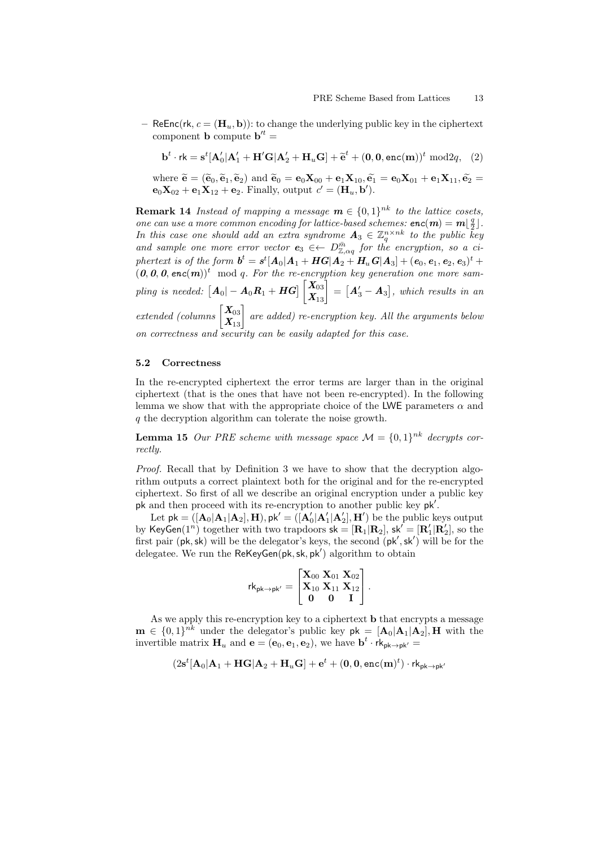– ReEnc(rk,  $c = (H_u, b)$ ): to change the underlying public key in the ciphertext component **b** compute  $\mathbf{b}^{\prime t} =$ 

$$
\mathbf{b}^t \cdot \mathbf{rk} = \mathbf{s}^t [\mathbf{A}'_0 | \mathbf{A}'_1 + \mathbf{H}'\mathbf{G} | \mathbf{A}'_2 + \mathbf{H}_u \mathbf{G}] + \widetilde{\mathbf{e}}^t + (\mathbf{0}, \mathbf{0}, \mathbf{enc}(\mathbf{m}))^t \bmod 2q, \quad (2)
$$

where  $\widetilde{\mathbf{e}} = (\widetilde{\mathbf{e}}_0, \widetilde{\mathbf{e}}_1, \widetilde{\mathbf{e}}_2)$  and  $\widetilde{\mathbf{e}}_0 = \mathbf{e}_0 \mathbf{X}_{00} + \mathbf{e}_1 \mathbf{X}_{10}, \widetilde{\mathbf{e}_1} = \mathbf{e}_0 \mathbf{X}_{01} + \mathbf{e}_1 \mathbf{X}_{11}, \widetilde{\mathbf{e}_2} =$  $\mathbf{e}_0 \mathbf{X}_{02} + \mathbf{e}_1 \mathbf{X}_{12} + \mathbf{e}_2$ . Finally, output  $c' = (\mathbf{H}_u, \mathbf{b}')$ .

**Remark 14** Instead of mapping a message  $\mathbf{m} \in \{0,1\}^{nk}$  to the lattice cosets, one can use a more common encoding for lattice-based schemes:  $enc(m) = m\lfloor \frac{q}{2}\rfloor$ . In this case one should add an extra syndrome  $A_3 \in \mathbb{Z}_q^{n \times nk}$  to the public key and sample one more error vector  $e_3 \in D_{\mathbb{Z},\alpha q}^{\bar{m}}$  for the encryption, so a ci- $\emph{plertext is of the form } \bm{b}^t = \bm{s}^t[\bm{A}_0|\bm{A}_1+\bm{H}\bm{G}|\bm{A}_2+\bm{H}_u\bm{G}|\bm{A}_3]+(\bm{e}_0,\bm{e}_1,\bm{e}_2,\bm{e}_3)^t+ \bm{b}_0$  $(0, 0, 0, \text{enc}(m))^t$  mod q. For the re-encryption key generation one more sam $pling\,\, is\,\, needed: \,\, \bigl[ \bm A_0 \vert - \bm A_0 \bm R_1 + \bm H \bm G \bigr] \begin{bmatrix} \bm X_{03} \ \bm X_{13} \end{bmatrix} = \bigl[ \bm A_3' - \bm A_3 \bigr], \,\, which\,\, results\,\, in \,\, an \,\,$ extended (columns  $\begin{bmatrix} X_{03} \ X_{13} \end{bmatrix}$  are added) re-encryption key. All the arguments below on correctness and security can be easily adapted for this case.

#### 5.2 Correctness

In the re-encrypted ciphertext the error terms are larger than in the original ciphertext (that is the ones that have not been re-encrypted). In the following lemma we show that with the appropriate choice of the LWE parameters  $\alpha$  and q the decryption algorithm can tolerate the noise growth.

**Lemma 15** Our PRE scheme with message space  $\mathcal{M} = \{0,1\}^{nk}$  decrypts correctly.

Proof. Recall that by Definition 3 we have to show that the decryption algorithm outputs a correct plaintext both for the original and for the re-encrypted ciphertext. So first of all we describe an original encryption under a public key pk and then proceed with its re-encryption to another public key pk'.

Let  $pk = ( [\mathbf{A}_0 | \mathbf{A}_1 | \mathbf{A}_2 ], \mathbf{H} )$ ,  $pk' = ( [\mathbf{A}'_0 | \mathbf{A}'_1 | \mathbf{A}'_2 ], \mathbf{H}' )$  be the public keys output by KeyGen $(1^n)$  together with two trapdoors  $s\mathsf{k} = [\mathbf{R}_1|\mathbf{R}_2]$ ,  $s\mathsf{k}' = [\mathbf{R}'_1|\mathbf{R}'_2]$ , so the first pair  $(\mathsf{pk}, \mathsf{sk})$  will be the delegator's keys, the second  $(\mathsf{pk}', \mathsf{sk}')$  will be for the delegatee. We run the ReKeyGen( $pk, sk, pk'$ ) algorithm to obtain

$$
\mathsf{rk}_{\mathsf{pk} \to \mathsf{pk}'} = \begin{bmatrix} \mathbf{X}_{00} \ \mathbf{X}_{01} \ \mathbf{X}_{01} \\ \mathbf{X}_{10} \ \mathbf{X}_{11} \ \mathbf{X}_{12} \\ \mathbf{0} \quad \mathbf{0} \quad \mathbf{I} \end{bmatrix}.
$$

As we apply this re-encryption key to a ciphertext **b** that encrypts a message  $\mathbf{m} \in \{0,1\}^{nk}$  under the delegator's public key  $\mathsf{pk} = [\mathbf{A}_0, \mathbf{A}_1, \mathbf{A}_2], \mathbf{H}$  with the invertible matrix  $\mathbf{H}_u$  and  $\mathbf{e} = (\mathbf{e}_0, \mathbf{e}_1, \mathbf{e}_2)$ , we have  $\mathbf{b}^t \cdot \mathbf{rk}_{\mathsf{pk} \to \mathsf{pk}'} =$ 

$$
(2\mathbf{s}^t[\mathbf{A}_0|\mathbf{A}_1+\mathbf{H}\mathbf{G}|\mathbf{A}_2+\mathbf{H}_u\mathbf{G}]+\mathbf{e}^t + (\mathbf{0},\mathbf{0},\mathsf{enc}(\mathbf{m})^t)\cdot\mathsf{rk}_{\mathsf{pk}\rightarrow\mathsf{pk}'}
$$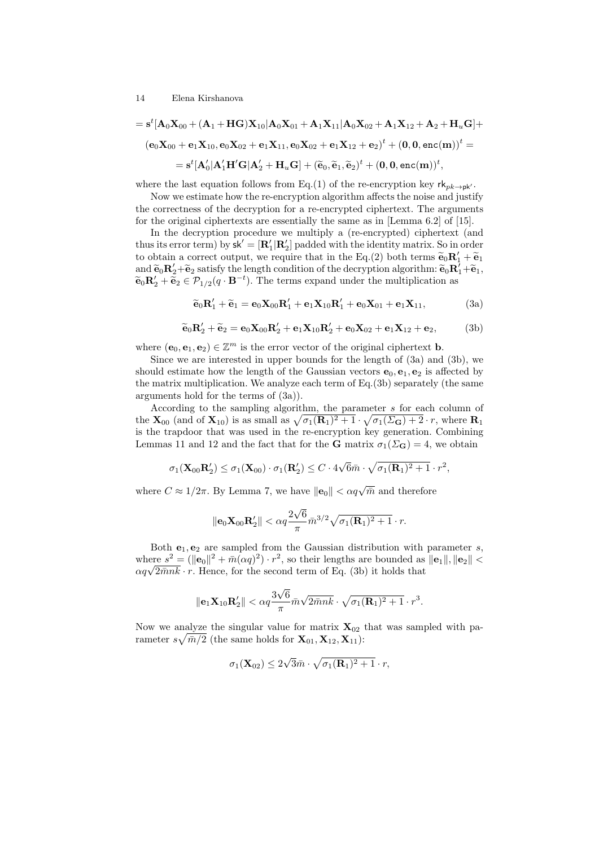$$
= \mathbf{s}^t [\mathbf{A}_0 \mathbf{X}_{00} + (\mathbf{A}_1 + \mathbf{H} \mathbf{G}) \mathbf{X}_{10} | \mathbf{A}_0 \mathbf{X}_{01} + \mathbf{A}_1 \mathbf{X}_{11} | \mathbf{A}_0 \mathbf{X}_{02} + \mathbf{A}_1 \mathbf{X}_{12} + \mathbf{A}_2 + \mathbf{H}_u \mathbf{G}] +
$$
  
\n
$$
(\mathbf{e}_0 \mathbf{X}_{00} + \mathbf{e}_1 \mathbf{X}_{10}, \mathbf{e}_0 \mathbf{X}_{02} + \mathbf{e}_1 \mathbf{X}_{11}, \mathbf{e}_0 \mathbf{X}_{02} + \mathbf{e}_1 \mathbf{X}_{12} + \mathbf{e}_2)^t + (\mathbf{0}, \mathbf{0}, \mathbf{enc}(\mathbf{m}))^t =
$$
  
\n
$$
= \mathbf{s}^t [\mathbf{A}_0' | \mathbf{A}_1' \mathbf{H}' \mathbf{G} | \mathbf{A}_2' + \mathbf{H}_u \mathbf{G}] + (\widetilde{\mathbf{e}}_0, \widetilde{\mathbf{e}}_1, \widetilde{\mathbf{e}}_2)^t + (\mathbf{0}, \mathbf{0}, \mathbf{enc}(\mathbf{m}))^t,
$$

where the last equation follows from Eq.(1) of the re-encryption key  $rk_{pk\rightarrow pk'}$ .

Now we estimate how the re-encryption algorithm affects the noise and justify the correctness of the decryption for a re-encrypted ciphertext. The arguments for the original ciphertexts are essentially the same as in [Lemma 6.2] of [15].

In the decryption procedure we multiply a (re-encrypted) ciphertext (and thus its error term) by  $sk' = [\mathbf{R}'_1 | \mathbf{R}'_2]$  padded with the identity matrix. So in order to obtain a correct output, we require that in the Eq.(2) both terms  $\tilde{\mathbf{e}}_0 \mathbf{R}'_1 + \tilde{\mathbf{e}}_1$ <br>and  $\tilde{\mathbf{e}}_1 \mathbf{R}' + \tilde{\mathbf{e}}_2$  entires the length condition of the decreation electrical  $\tilde{\mathbf{e}}_1 \mathbf{R}' + \tilde{\math$ and  $\tilde{\mathbf{e}}_0 \mathbf{R}'_2 + \tilde{\mathbf{e}}_2$  satisfy the length condition of the decryption algorithm:  $\tilde{\mathbf{e}}_0 \mathbf{R}'_1 + \tilde{\mathbf{e}}_1$ ,<br> $\tilde{\mathbf{e}}_0 \mathbf{R}' + \tilde{\mathbf{e}}_0 \in \mathcal{R}$ ,  $\mathbf{e}(a_1, \mathbf{R}^{-t})$ . The terms expand under the  $\widetilde{\mathbf{e}}_0 \mathbf{R}'_2 + \widetilde{\mathbf{e}}_2 \in \mathcal{P}_{1/2}(q \cdot \mathbf{B}^{-t}).$  The terms expand under the multiplication as

$$
\widetilde{\mathbf{e}}_0 \mathbf{R}'_1 + \widetilde{\mathbf{e}}_1 = \mathbf{e}_0 \mathbf{X}_{00} \mathbf{R}'_1 + \mathbf{e}_1 \mathbf{X}_{10} \mathbf{R}'_1 + \mathbf{e}_0 \mathbf{X}_{01} + \mathbf{e}_1 \mathbf{X}_{11},
$$
\n(3a)

$$
\widetilde{\mathbf{e}}_0 \mathbf{R}'_2 + \widetilde{\mathbf{e}}_2 = \mathbf{e}_0 \mathbf{X}_{00} \mathbf{R}'_2 + \mathbf{e}_1 \mathbf{X}_{10} \mathbf{R}'_2 + \mathbf{e}_0 \mathbf{X}_{02} + \mathbf{e}_1 \mathbf{X}_{12} + \mathbf{e}_2, \tag{3b}
$$

where  $(\mathbf{e}_0, \mathbf{e}_1, \mathbf{e}_2) \in \mathbb{Z}^m$  is the error vector of the original ciphertext **b**.

Since we are interested in upper bounds for the length of (3a) and (3b), we should estimate how the length of the Gaussian vectors  $e_0, e_1, e_2$  is affected by the matrix multiplication. We analyze each term of Eq.(3b) separately (the same arguments hold for the terms of (3a)).

According to the sampling algorithm, the parameter s for each column of the  $\mathbf{X}_{00}$  (and of  $\mathbf{X}_{10}$ ) is as small as  $\sqrt{\sigma_1(\mathbf{R}_1)^2 + 1} \cdot \sqrt{\sigma_1(\Sigma_{\mathbf{G}}) + 2} \cdot r$ , where  $\mathbf{R}_1$ is the trapdoor that was used in the re-encryption key generation. Combining Lemmas 11 and 12 and the fact that for the **G** matrix  $\sigma_1(\Sigma_{\mathbf{G}}) = 4$ , we obtain

$$
\sigma_1(\mathbf{X}_{00}\mathbf{R}'_2) \leq \sigma_1(\mathbf{X}_{00}) \cdot \sigma_1(\mathbf{R}'_2) \leq C \cdot 4\sqrt{6}\bar{m} \cdot \sqrt{\sigma_1(\mathbf{R}_1)^2 + 1} \cdot r^2,
$$

where  $C \approx 1/2\pi$ . By Lemma 7, we have  $\|\mathbf{e}_0\| < \alpha q \sqrt{\bar{m}}$  and therefore

$$
\|\mathbf{e}_0\mathbf{X}_{00}\mathbf{R}_2'\| < \alpha q \frac{2\sqrt{6}}{\pi} \bar{m}^{3/2} \sqrt{\sigma_1(\mathbf{R}_1)^2 + 1} \cdot r.
$$

Both  $e_1, e_2$  are sampled from the Gaussian distribution with parameter s, where  $s^2 = (\|\mathbf{e}_0\|^2 + \bar{m}(\alpha q)^2) \cdot r^2$ , so their lengths are bounded as  $\|\mathbf{e}_1\|$ ,  $\|\mathbf{e}_2\|$  < where  $s^2 = (\|\mathbf{e}_0\|^2 + m(\alpha q)^2) \cdot r^2$ , so their lengths are bounded as  $\alpha q \sqrt{2mnk} \cdot r$ . Hence, for the second term of Eq. (3b) it holds that

$$
\|\mathbf{e}_1\mathbf{X}_{10}\mathbf{R}_2'\| < \alpha q \frac{3\sqrt{6}}{\pi} \bar{m} \sqrt{2\bar{m}nk} \cdot \sqrt{\sigma_1(\mathbf{R}_1)^2 + 1} \cdot r^3.
$$

Now we analyze the singular value for matrix  $X_{02}$  that was sampled with parameter  $s\sqrt{\bar{m}/2}$  (the same holds for  $\mathbf{X}_{01}, \mathbf{X}_{12}, \mathbf{X}_{11}$ ):

$$
\sigma_1(\mathbf{X}_{02}) \leq 2\sqrt{3}\bar{m}\cdot\sqrt{\sigma_1(\mathbf{R}_1)^2+1}\cdot r,
$$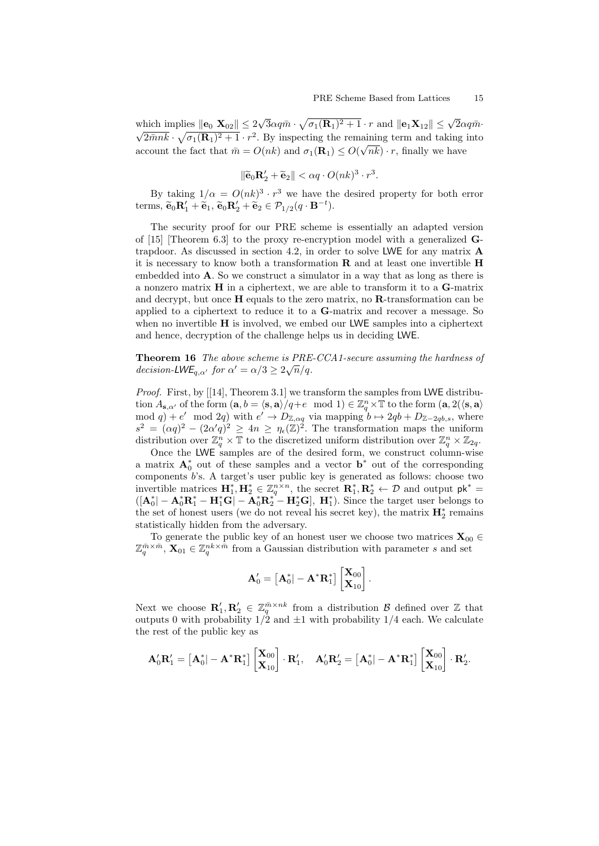which implies  $\|\mathbf{e}_0 \mathbf{X}_{02}\| \leq 2$ √ which implies  $\|\mathbf{e}_0 \mathbf{X}_{02}\| \leq 2\sqrt{3}\alpha q\bar{m} \cdot \sqrt{\sigma_1(\mathbf{R}_1)^2 + 1} \cdot r$  and  $\|\mathbf{e}_1 \mathbf{X}_{12}\| \leq \sqrt{2}\alpha q\bar{m} \cdot$  $\overline{2\bar{m}nk} \cdot \sqrt{\sigma_1(\mathbf{R}_1)^2 + 1} \cdot r^2$ . By inspecting the remaining term and taking into account the fact that  $\bar{m} = O(nk)$  and  $\sigma_1(\mathbf{R}_1) \leq O(\sqrt{n}k) \cdot r$ , finally we have

$$
\|\widetilde{\mathbf{e}}_0\mathbf{R}_2' + \widetilde{\mathbf{e}}_2\| < \alpha q \cdot O(nk)^3 \cdot r^3.
$$

By taking  $1/\alpha = O(nk)^3 \cdot r^3$  we have the desired property for both error terms,  $\widetilde{\mathbf{e}}_0 \mathbf{R}'_1 + \widetilde{\mathbf{e}}_1$ ,  $\widetilde{\mathbf{e}}_0 \mathbf{R}'_2 + \widetilde{\mathbf{e}}_2 \in \mathcal{P}_{1/2}(q \cdot \mathbf{B}^{-t}).$ 

The security proof for our PRE scheme is essentially an adapted version of [15] [Theorem 6.3] to the proxy re-encryption model with a generalized  $\mathbf{G}$ trapdoor. As discussed in section 4.2, in order to solve LWE for any matrix  $\bf{A}$ it is necessary to know both a transformation  $\bf{R}$  and at least one invertible  $\bf{H}$ embedded into A. So we construct a simulator in a way that as long as there is a nonzero matrix  $\bf{H}$  in a ciphertext, we are able to transform it to a  $\bf{G}$ -matrix and decrypt, but once  $H$  equals to the zero matrix, no  $R$ -transformation can be applied to a ciphertext to reduce it to a G-matrix and recover a message. So when no invertible H is involved, we embed our LWE samples into a ciphertext and hence, decryption of the challenge helps us in deciding LWE.

Theorem 16 The above scheme is PRE-CCA1-secure assuming the hardness of **Theorem 10** The above scheme is FRE<br>decision-LWE<sub>q, $\alpha'$ </sub> for  $\alpha' = \alpha/3 \ge 2\sqrt{n}/q$ .

Proof. First, by [[14], Theorem 3.1] we transform the samples from LWE distribution  $A_{s,\alpha'}$  of the form  $(a, b = \langle s, a \rangle / q + e \mod 1) \in \mathbb{Z}_q^n \times \mathbb{T}$  to the form  $(a, 2(\langle s, a \rangle$ mod q) + e' mod 2q) with  $e' \to D_{\mathbb{Z},\alpha q}$  via mapping  $b \to 2qb + D_{\mathbb{Z} - 2qb,s}$ , where  $s^2 = (\alpha q)^2 - (2\alpha'q)^2 \geq 4n \geq \eta_{\epsilon}(\mathbb{Z})^2$ . The transformation maps the uniform distribution over  $\mathbb{Z}_q^n \times \mathbb{T}$  to the discretized uniform distribution over  $\mathbb{Z}_q^n \times \mathbb{Z}_{2q}$ .

Once the LWE samples are of the desired form, we construct column-wise a matrix  $A_0^*$  out of these samples and a vector  $b^*$  out of the corresponding components b's. A target's user public key is generated as follows: choose two invertible matrices  $\mathbf{H}_{1}^{*}, \mathbf{H}_{2}^{*} \in \mathbb{Z}_{q}^{n \times n}$ , the secret  $\mathbf{R}_{1}^{*}, \mathbf{R}_{2}^{*} \leftarrow \mathcal{D}$  and output  $\mathsf{pk}^{*} =$  $([A_0^*] - A_0^*R_1^* - H_1^*G] - A_0^*R_2^* - H_2^*G$ ,  $H_1^*$ ). Since the target user belongs to the set of honest users (we do not reveal his secret key), the matrix  $\mathbf{H}_2^*$  remains statistically hidden from the adversary.

To generate the public key of an honest user we choose two matrices  $\mathbf{X}_{00} \in \mathbb{R}$  $\mathbb{Z}_q^{\bar{m}\times\bar{m}}$ ,  $\mathbf{X}_{01} \in \mathbb{Z}_q^{nk\times\bar{m}}$  from a Gaussian distribution with parameter s and set

$$
\mathbf{A}'_0 = \begin{bmatrix} \mathbf{A}^*_0 | -\mathbf{A}^* \mathbf{R}^*_1 \end{bmatrix} \begin{bmatrix} \mathbf{X}_{00} \\ \mathbf{X}_{10} \end{bmatrix}.
$$

Next we choose  $\mathbf{R}'_1, \mathbf{R}'_2 \in \mathbb{Z}_q^{\bar{m} \times nk}$  from a distribution  $\mathcal{B}$  defined over  $\mathbb{Z}$  that outputs 0 with probability  $1/2$  and  $\pm 1$  with probability  $1/4$  each. We calculate the rest of the public key as

$$
\mathbf{A}_0'\mathbf{R}_1' = \begin{bmatrix}\mathbf{A}_0^*|-\mathbf{A}^*\mathbf{R}_1^*\end{bmatrix}\begin{bmatrix}\mathbf{X}_{00}\\ \mathbf{X}_{10}\end{bmatrix}\cdot\mathbf{R}_1', \quad \mathbf{A}_0'\mathbf{R}_2' = \begin{bmatrix}\mathbf{A}_0^*|-\mathbf{A}^*\mathbf{R}_1^*\end{bmatrix}\begin{bmatrix}\mathbf{X}_{00}\\ \mathbf{X}_{10}\end{bmatrix}\cdot\mathbf{R}_2'.
$$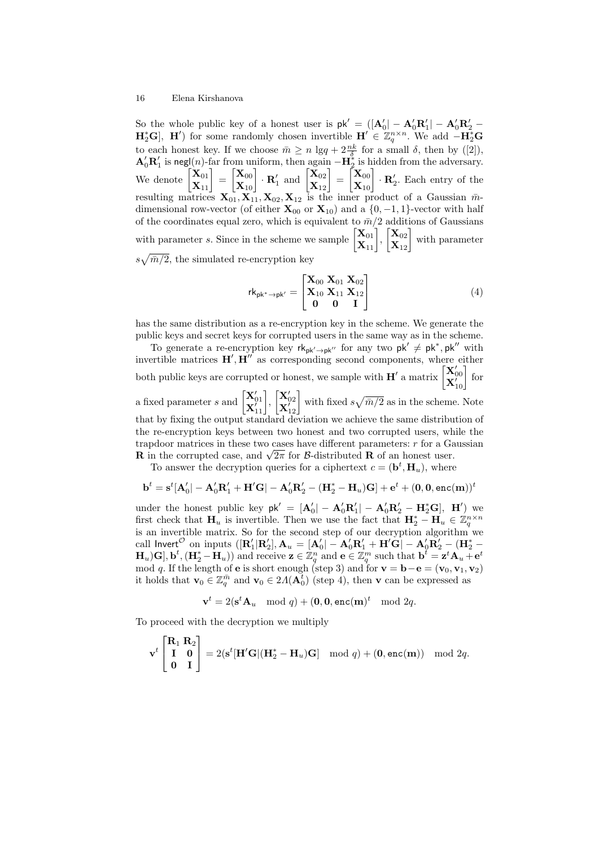So the whole public key of a honest user is  $pk' = ( [A'_0] - A'_0 R'_1] - A'_0 R'_2 \mathbf{H}_{2}^{*}\mathbf{G}$ ,  $\mathbf{H}'$  for some randomly chosen invertible  $\mathbf{H}' \in \mathbb{Z}_{q}^{n \times n}$ . We add  $-\mathbf{H}_{2}^{*}\mathbf{G}$ to each honest key. If we choose  $\bar{m} \ge n \lg q + 2\frac{nk}{\delta}$  for a small  $\delta$ , then by ([2]),  $\mathbf{A}'_0 \mathbf{R}'_1$  is negl(n)-far from uniform, then again  $-\mathbf{H}_2^*$  is hidden from the adversary. We denote  $\begin{bmatrix} \mathbf{X}_{01} \\ \mathbf{X}_{11} \end{bmatrix} = \begin{bmatrix} \mathbf{X}_{00} \\ \mathbf{X}_{10} \end{bmatrix} \cdot \mathbf{R}'_1$  and  $\begin{bmatrix} \mathbf{X}_{02} \\ \mathbf{X}_{12} \end{bmatrix} = \begin{bmatrix} \mathbf{X}_{00} \\ \mathbf{X}_{10} \end{bmatrix} \cdot \mathbf{R}'_2$ . Each entry of the resulting matrices  $X_{01}, X_{11}, X_{02}, X_{12}$  is the inner product of a Gaussian  $\bar{m}$ dimensional row-vector (of either  $\mathbf{X}_{00}$  or  $\mathbf{X}_{10}$ ) and a {0, -1, 1}-vector with half of the coordinates equal zero, which is equivalent to  $\bar{m}/2$  additions of Gaussians with parameter s. Since in the scheme we sample  $\begin{bmatrix} \mathbf{X}_{01} \\ \mathbf{X}_{11} \end{bmatrix}$ ,  $\begin{bmatrix} \mathbf{X}_{02} \\ \mathbf{X}_{12} \end{bmatrix}$  with parameter  $s\sqrt{\bar{m}/2}$ , the simulated re-encryption key

$$
rk_{pk^* \to pk'} = \begin{bmatrix} X_{00} & X_{01} & X_{02} \\ X_{10} & X_{11} & X_{12} \\ 0 & 0 & I \end{bmatrix}
$$
 (4)

has the same distribution as a re-encryption key in the scheme. We generate the public keys and secret keys for corrupted users in the same way as in the scheme.

To generate a re-encryption key  $rk_{pk'\rightarrow pk''}$  for any two  $pk' \neq pk^*$ ,  $pk''$  with invertible matrices  $H', H''$  as corresponding second components, where either both public keys are corrupted or honest, we sample with  $\mathbf{H}'$  a matrix  $\begin{bmatrix} \mathbf{X}'_{00} \\ \mathbf{X}'_{10} \end{bmatrix}$  for a fixed parameter s and  $\begin{bmatrix} \mathbf{X}'_{01} \\ \mathbf{X}'_{11} \end{bmatrix}$ ,  $\begin{bmatrix} \mathbf{X}'_{02} \\ \mathbf{X}'_{12} \end{bmatrix}$  with fixed  $s\sqrt{\bar{m}/2}$  as in the scheme. Note that by fixing the output standard deviation we achieve the same distribution of the re-encryption keys between two honest and two corrupted users, while the trapdoor matrices in these two cases have different parameters:  $r$  for a Gaussian trapdoor matrices in these two cases have different parameters: r for a Ge R in the corrupted case, and  $\sqrt{2\pi}$  for B-distributed R of an honest user.

To answer the decryption queries for a ciphertext  $c = (\mathbf{b}^t, \mathbf{H}_u)$ , where

$$
\mathbf{b}^t = \mathbf{s}^t [\mathbf{A}_0'] - \mathbf{A}_0' \mathbf{R}_1' + \mathbf{H}' \mathbf{G}] - \mathbf{A}_0' \mathbf{R}_2' - (\mathbf{H}_2^* - \mathbf{H}_u) \mathbf{G}] + \mathbf{e}^t + (\mathbf{0}, \mathbf{0}, \texttt{enc}(\mathbf{m}))^t
$$

under the honest public key  $pk' = [A'_0| - A'_0R'_1| - A'_0R'_2 - H_2^*G], H'$  we first check that  $\mathbf{H}_u$  is invertible. Then we use the fact that  $\mathbf{H}_2^* - \mathbf{H}_u \in \mathbb{Z}_q^{n \times n}$ is an invertible matrix. So for the second step of our decryption algorithm we call Invert $^{\cal O}$  on inputs  $([{\bf R}'_1|{\bf R}'_2],{\bf A}_u=[{\bf A}'_0]-{\bf A}'_0{\bf R}'_1+{\bf H}'{\bf G}]-{\bf A}'_0{\bf R}'_2-({\bf H}_2^*-{\bf A}'_1){\bf R}'_2$  $(\mathbf{H}_u)\mathbf{G}, \mathbf{b}^t, (\mathbf{H}_2^* - \mathbf{H}_u)$  and receive  $\mathbf{z} \in \mathbb{Z}_q^n$  and  $\mathbf{e} \in \mathbb{Z}_q^m$  such that  $\mathbf{b}^t = \mathbf{z}^t \mathbf{A}_u + \mathbf{e}^t$ mod q. If the length of **e** is short enough (step 3) and for  $\mathbf{v} = \mathbf{b} - \mathbf{e} = (\mathbf{v}_0, \mathbf{v}_1, \mathbf{v}_2)$ it holds that  $\mathbf{v}_0 \in \mathbb{Z}_q^{\bar{m}}$  and  $\mathbf{v}_0 \in 2\Lambda(\mathbf{A}_0^{\bar{t}})$  (step 4), then v can be expressed as

$$
\mathbf{v}^t = 2(\mathbf{s}^t \mathbf{A}_u \mod q) + (\mathbf{0}, \mathbf{0}, \mathbf{enc}(\mathbf{m})^t \mod 2q).
$$

To proceed with the decryption we multiply

$$
\mathbf{v}^t \begin{bmatrix} \mathbf{R}_1 & \mathbf{R}_2 \\ \mathbf{I} & \mathbf{0} \\ \mathbf{0} & \mathbf{I} \end{bmatrix} = 2(\mathbf{s}^t [\mathbf{H}'\mathbf{G}|(\mathbf{H}_2^* - \mathbf{H}_u)\mathbf{G}] \mod q) + (\mathbf{0}, \mathbf{enc}(\mathbf{m})) \mod 2q.
$$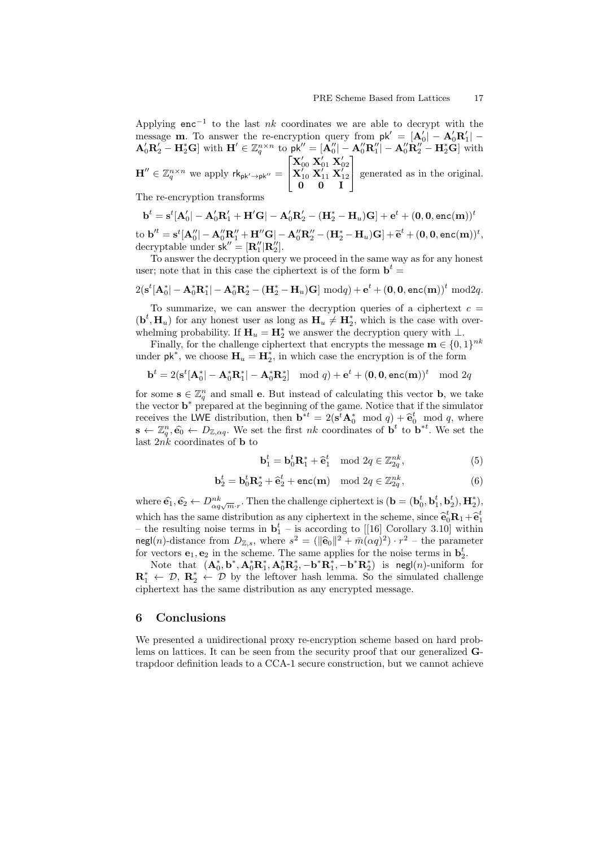Applying enc<sup>-1</sup> to the last nk coordinates we are able to decrypt with the message **m**. To answer the re-encryption query from  $pk' = [\mathbf{A}'_0] - \mathbf{A}'_0 \mathbf{R}'_1$ message in: To answer the re-encryption query from  $\mathbf{p} \mathbf{k} = [\mathbf{A}_0^0] - \mathbf{A}_0^0 \mathbf{R}_1^0 - \mathbf{A}_0^0 \mathbf{R}_1^1] - \mathbf{A}_0^0 \mathbf{R}_2^0 - \mathbf{H}_2^* \mathbf{G}$  with  $\mathbf{H}' \in \mathbb{Z}_q^{n \times n}$  to  $\mathbf{p} \mathbf{k}'' = [\mathbf{A}_0^0] - \mathbf{A}_0^0 \mathbf{R$  $\mathbf{H}^{\prime\prime} \in \mathbb{Z}_q^{n \times n}$  we apply  $\mathsf{rk}_{\mathsf{pk}^{\prime} \rightarrow \mathsf{pk}^{\prime\prime}} =$  $\sqrt{ }$  $\overline{\phantom{a}}$  $\begin{array}{c} \mathbf{X}_{00}'\ \mathbf{X}_{10}'\ \mathbf{X}_{11}'\ \mathbf{X}_{12}'\ \mathbf{0} \quad \mathbf{0} \quad \mathbf{I} \end{array}$ 1 generated as in the original.

The re-encryption transforms

$$
\mathbf{b}^t = \mathbf{s}^t [\mathbf{A}'_0] - \mathbf{A}'_0 \mathbf{R}'_1 + \mathbf{H}'\mathbf{G} | - \mathbf{A}'_0 \mathbf{R}'_2 - (\mathbf{H}_2^* - \mathbf{H}_u)\mathbf{G} ] + \mathbf{e}^t + (0, 0, \text{enc(m)})^t
$$
  
to 
$$
\mathbf{b}'^t = \mathbf{s}^t [\mathbf{A}''_0] - \mathbf{A}''_0 \mathbf{R}''_1 + \mathbf{H}''\mathbf{G} | - \mathbf{A}''_0 \mathbf{R}''_2 - (\mathbf{H}_2^* - \mathbf{H}_u)\mathbf{G} ] + \widetilde{\mathbf{e}}^t + (0, 0, \text{enc(m)})^t,
$$
decurv  
to bequarkable under 
$$
\mathbf{b}^{k'} = [\mathbf{B}''] \mathbf{B}''
$$

decryptable under  $\mathsf{sk}'' = [\mathbf{R}_1'' | \mathbf{R}_2'']$ .

To answer the decryption query we proceed in the same way as for any honest user; note that in this case the ciphertext is of the form  $\mathbf{b}^t =$ 

$$
2(\mathbf{s}^{t}[\mathbf{A}_0^*]-\mathbf{A}_0^*\mathbf{R}_1^*]-\mathbf{A}_0^*\mathbf{R}_2^*-(\mathbf{H}_2^*-\mathbf{H}_u)\mathbf{G}]\bmod q + \mathbf{e}^t + (\mathbf{0},\mathbf{0},\mathbf{enc}(\mathbf{m}))^t \bmod 2q.
$$

To summarize, we can answer the decryption queries of a ciphertext  $c =$  $(\mathbf{b}^t, \mathbf{H}_u)$  for any honest user as long as  $\mathbf{H}_u \neq \mathbf{H}_2^*$ , which is the case with overwhelming probability. If  $\mathbf{H}_u = \mathbf{H}_2^*$  we answer the decryption query with  $\perp$ .

Finally, for the challenge ciphertext that encrypts the message  $\mathbf{m} \in \{0,1\}^{nk}$ under  $\mathsf{pk}^*$ , we choose  $\mathbf{H}_u = \mathbf{H}_2^*$ , in which case the encryption is of the form

$$
\mathbf{b}^t = 2(\mathbf{s}^t[\mathbf{A}_0^*] - \mathbf{A}_0^*\mathbf{R}_1^*] - \mathbf{A}_0^*\mathbf{R}_2^*] \mod q + \mathbf{e}^t + (\mathbf{0}, \mathbf{0}, \mathbf{enc}(\mathbf{m}))^t \mod 2q
$$

for some  $\mathbf{s} \in \mathbb{Z}_q^n$  and small **e**. But instead of calculating this vector **b**, we take the vector  $\mathbf{b}^*$  prepared at the beginning of the game. Notice that if the simulator receives the LWE distribution, then  $\mathbf{b}^{*t} = 2(\mathbf{s}^t \mathbf{A}^*_{0} \mod q) + \mathbf{\hat{e}}^t_{0} \mod q$ , where  $\mathbf{s} \leftarrow \mathbb{Z}_q^n, \hat{\mathbf{e}_0} \leftarrow D_{\mathbb{Z},\alpha q}$ . We set the first nk coordinates of  $\mathbf{b}^t$  to  $\mathbf{b}^{*t}$ . We set the last  $2nk$  coordinates of **b** to

$$
\mathbf{b}_1^t = \mathbf{b}_0^t \mathbf{R}_1^* + \hat{\mathbf{e}}_1^t \mod 2q \in \mathbb{Z}_{2q}^{nk},\tag{5}
$$

$$
\mathbf{b}_2^t = \mathbf{b}_0^t \mathbf{R}_2^* + \widehat{\mathbf{e}}_2^t + \text{enc}(\mathbf{m}) \mod 2q \in \mathbb{Z}_{2q}^{nk},\tag{6}
$$

where  $\hat{\mathbf{e}_1}, \hat{\mathbf{e}_2} \leftarrow D_{\alpha q \sqrt{m} \cdot r}^{nk}$ . Then the challenge ciphertext is  $(\mathbf{b} = (\mathbf{b}_0^t, \mathbf{b}_1^t, \mathbf{b}_2^t), \mathbf{H}_2^s)$ , which has the same distribution as any ciphertext in the scheme, since  $\mathbf{\hat{e}}_0^t \mathbf{R}_1 + \mathbf{\hat{e}}_1^t$ <br>the reculting poise terms in  $\mathbf{h}^t$  is according to [[16] Corollary 3.10] within – the resulting noise terms in  $\mathbf{b}_1^t$  – is according to [[16] Corollary 3.10] within negl(n)-distance from  $D_{\mathbb{Z},s}$ , where  $s^2 = (\|\hat{\mathbf{e}}_0\|^2 + \bar{m}(\alpha q)^2) \cdot r^2$  – the parameter<br>for vectors  $\hat{\mathbf{e}}_s$ ,  $\hat{\mathbf{e}}_s$  in the school. The same applies for the paise terms in  $\mathbf{b}^t$ for vectors  $\mathbf{e}_1, \mathbf{e}_2$  in the scheme. The same applies for the noise terms in  $\mathbf{b}_2^t$ .

Note that  $(\mathbf{A}_0^*, \mathbf{b}^*, \mathbf{A}_0^* \mathbf{R}_1^*, \mathbf{A}_0^* \mathbf{R}_2^*, -\mathbf{b}^* \mathbf{R}_1^*, -\mathbf{b}^* \mathbf{R}_2^*)$  is negl(n)-uniform for  $\mathbf{R}_1^* \leftarrow \mathcal{D}, \ \mathbf{R}_2^* \leftarrow \mathcal{D}$  by the leftover hash lemma. So the simulated challenge ciphertext has the same distribution as any encrypted message.

# 6 Conclusions

We presented a unidirectional proxy re-encryption scheme based on hard problems on lattices. It can be seen from the security proof that our generalized Gtrapdoor definition leads to a CCA-1 secure construction, but we cannot achieve